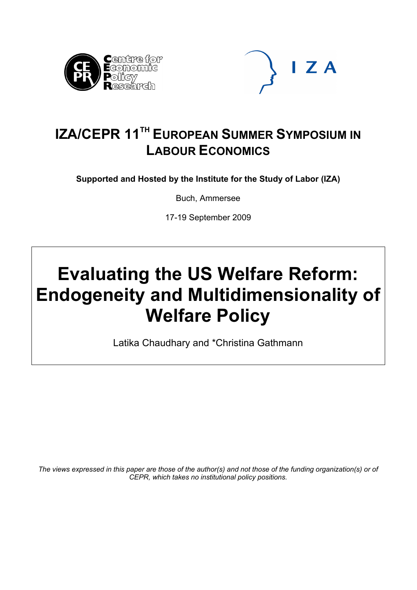



## **IZA/CEPR 11<sup>TH</sup> EUROPEAN SUMMER SYMPOSIUM IN LABOUR ECONOMICS**

**Supported and Hosted by the Institute for the Study of Labor (IZA)** 

Buch, Ammersee

17-19 September 2009

# **Evaluating the US Welfare Reform: Endogeneity and Multidimensionality of Welfare Policy**

Latika Chaudhary and \*Christina Gathmann

*The views expressed in this paper are those of the author(s) and not those of the funding organization(s) or of CEPR, which takes no institutional policy positions.*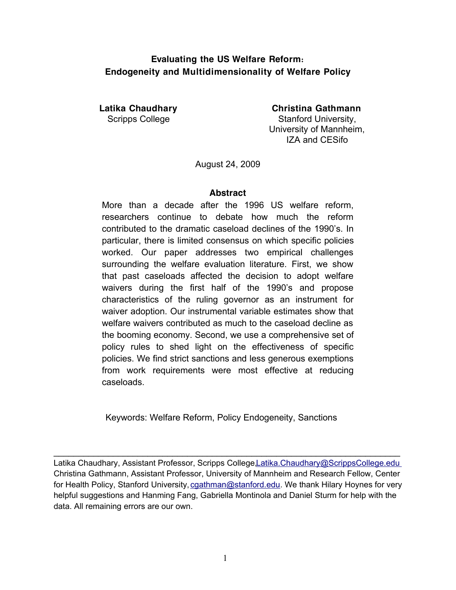## **Evaluating the US Welfare Reform: Endogeneity and Multidimensionality of Welfare Policy**

**Latika Chaudhary Christina Gathmann** Scripps College Stanford University, University of Mannheim, IZA and CESifo

August 24, 2009

#### **Abstract**

More than a decade after the 1996 US welfare reform, researchers continue to debate how much the reform contributed to the dramatic caseload declines of the 1990's. In particular, there is limited consensus on which specific policies worked. Our paper addresses two empirical challenges surrounding the welfare evaluation literature. First, we show that past caseloads affected the decision to adopt welfare waivers during the first half of the 1990's and propose characteristics of the ruling governor as an instrument for waiver adoption. Our instrumental variable estimates show that welfare waivers contributed as much to the caseload decline as the booming economy. Second, we use a comprehensive set of policy rules to shed light on the effectiveness of specific policies. We find strict sanctions and less generous exemptions from work requirements were most effective at reducing caseloads.

Keywords: Welfare Reform, Policy Endogeneity, Sanctions

Latika Chaudhary, Assistant Professor, Scripps College, Latika. Chaudhary@ScrippsCollege.edu Christina Gathmann, Assistant Professor, University of Mannheim and Research Fellow, Center for Health Policy, Stanford University, caathman@stanford.edu. We thank Hilary Hoynes for very helpful suggestions and Hanming Fang, Gabriella Montinola and Daniel Sturm for help with the data. All remaining errors are our own.

 $\mathcal{L}_\text{max} = \mathcal{L}_\text{max} = \mathcal{L}_\text{max} = \mathcal{L}_\text{max} = \mathcal{L}_\text{max} = \mathcal{L}_\text{max} = \mathcal{L}_\text{max} = \mathcal{L}_\text{max} = \mathcal{L}_\text{max} = \mathcal{L}_\text{max} = \mathcal{L}_\text{max} = \mathcal{L}_\text{max} = \mathcal{L}_\text{max} = \mathcal{L}_\text{max} = \mathcal{L}_\text{max} = \mathcal{L}_\text{max} = \mathcal{L}_\text{max} = \mathcal{L}_\text{max} = \mathcal{$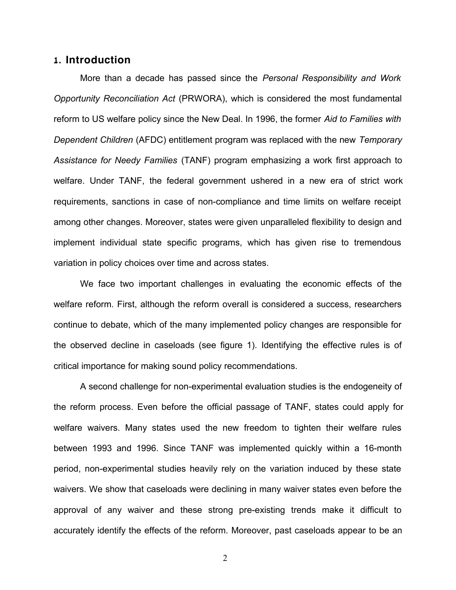### **1. Introduction**

More than a decade has passed since the *Personal Responsibility and Work Opportunity Reconciliation Act* (PRWORA), which is considered the most fundamental reform to US welfare policy since the New Deal. In 1996, the former *Aid to Families with Dependent Children* (AFDC) entitlement program was replaced with the new *Temporary Assistance for Needy Families* (TANF) program emphasizing a work first approach to welfare. Under TANF, the federal government ushered in a new era of strict work requirements, sanctions in case of non-compliance and time limits on welfare receipt among other changes. Moreover, states were given unparalleled flexibility to design and implement individual state specific programs, which has given rise to tremendous variation in policy choices over time and across states.

We face two important challenges in evaluating the economic effects of the welfare reform. First, although the reform overall is considered a success, researchers continue to debate, which of the many implemented policy changes are responsible for the observed decline in caseloads (see figure 1). Identifying the effective rules is of critical importance for making sound policy recommendations.

A second challenge for non-experimental evaluation studies is the endogeneity of the reform process. Even before the official passage of TANF, states could apply for welfare waivers. Many states used the new freedom to tighten their welfare rules between 1993 and 1996. Since TANF was implemented quickly within a 16-month period, non-experimental studies heavily rely on the variation induced by these state waivers. We show that caseloads were declining in many waiver states even before the approval of any waiver and these strong pre-existing trends make it difficult to accurately identify the effects of the reform. Moreover, past caseloads appear to be an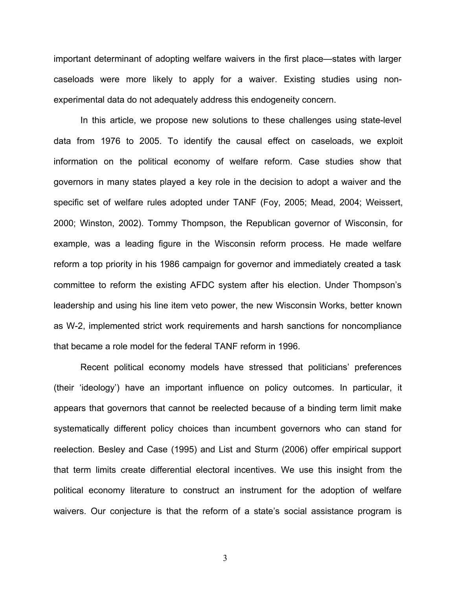important determinant of adopting welfare waivers in the first place—states with larger caseloads were more likely to apply for a waiver. Existing studies using nonexperimental data do not adequately address this endogeneity concern.

In this article, we propose new solutions to these challenges using state-level data from 1976 to 2005. To identify the causal effect on caseloads, we exploit information on the political economy of welfare reform. Case studies show that governors in many states played a key role in the decision to adopt a waiver and the specific set of welfare rules adopted under TANF (Foy, 2005; Mead, 2004; Weissert, 2000; Winston, 2002). Tommy Thompson, the Republican governor of Wisconsin, for example, was a leading figure in the Wisconsin reform process. He made welfare reform a top priority in his 1986 campaign for governor and immediately created a task committee to reform the existing AFDC system after his election. Under Thompson's leadership and using his line item veto power, the new Wisconsin Works, better known as W-2, implemented strict work requirements and harsh sanctions for noncompliance that became a role model for the federal TANF reform in 1996.

Recent political economy models have stressed that politicians' preferences (their 'ideology') have an important influence on policy outcomes. In particular, it appears that governors that cannot be reelected because of a binding term limit make systematically different policy choices than incumbent governors who can stand for reelection. Besley and Case (1995) and List and Sturm (2006) offer empirical support that term limits create differential electoral incentives. We use this insight from the political economy literature to construct an instrument for the adoption of welfare waivers. Our conjecture is that the reform of a state's social assistance program is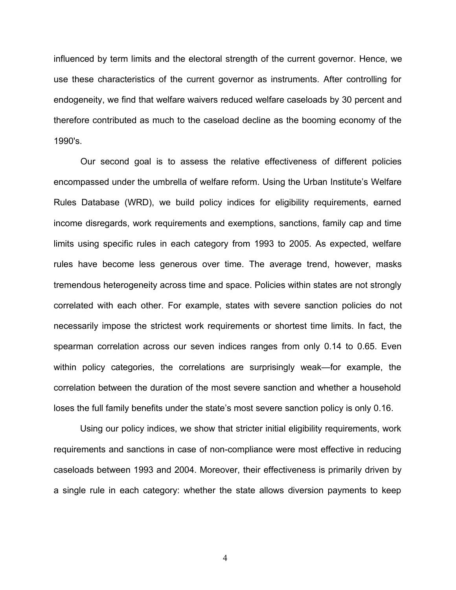influenced by term limits and the electoral strength of the current governor. Hence, we use these characteristics of the current governor as instruments. After controlling for endogeneity, we find that welfare waivers reduced welfare caseloads by 30 percent and therefore contributed as much to the caseload decline as the booming economy of the 1990's.

Our second goal is to assess the relative effectiveness of different policies encompassed under the umbrella of welfare reform. Using the Urban Institute's Welfare Rules Database (WRD), we build policy indices for eligibility requirements, earned income disregards, work requirements and exemptions, sanctions, family cap and time limits using specific rules in each category from 1993 to 2005. As expected, welfare rules have become less generous over time. The average trend, however, masks tremendous heterogeneity across time and space. Policies within states are not strongly correlated with each other. For example, states with severe sanction policies do not necessarily impose the strictest work requirements or shortest time limits. In fact, the spearman correlation across our seven indices ranges from only 0.14 to 0.65. Even within policy categories, the correlations are surprisingly weak—for example, the correlation between the duration of the most severe sanction and whether a household loses the full family benefits under the state's most severe sanction policy is only 0.16.

Using our policy indices, we show that stricter initial eligibility requirements, work requirements and sanctions in case of non-compliance were most effective in reducing caseloads between 1993 and 2004. Moreover, their effectiveness is primarily driven by a single rule in each category: whether the state allows diversion payments to keep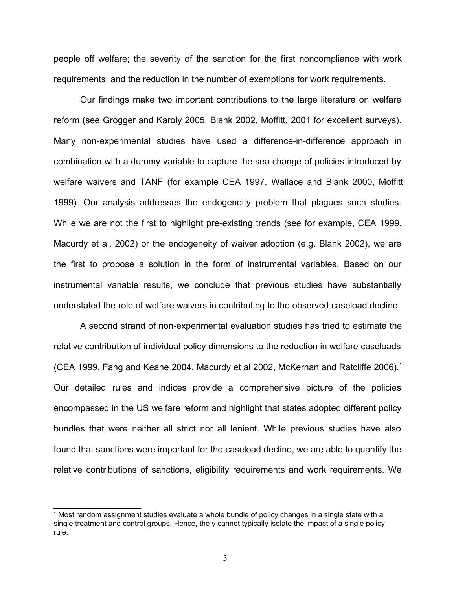people off welfare; the severity of the sanction for the first noncompliance with work requirements; and the reduction in the number of exemptions for work requirements.

Our findings make two important contributions to the large literature on welfare reform (see Grogger and Karoly 2005, Blank 2002, Moffitt, 2001 for excellent surveys). Many non-experimental studies have used a difference-in-difference approach in combination with a dummy variable to capture the sea change of policies introduced by welfare waivers and TANF (for example CEA 1997, Wallace and Blank 2000, Moffitt 1999). Our analysis addresses the endogeneity problem that plagues such studies. While we are not the first to highlight pre-existing trends (see for example, CEA 1999, Macurdy et al. 2002) or the endogeneity of waiver adoption (e.g. Blank 2002), we are the first to propose a solution in the form of instrumental variables. Based on our instrumental variable results, we conclude that previous studies have substantially understated the role of welfare waivers in contributing to the observed caseload decline.

A second strand of non-experimental evaluation studies has tried to estimate the relative contribution of individual policy dimensions to the reduction in welfare caseloads (CEA 1999, Fang and Keane 2004, Macurdy et al 2002, McKernan and Ratcliffe 2006).[1](#page-5-0) Our detailed rules and indices provide a comprehensive picture of the policies encompassed in the US welfare reform and highlight that states adopted different policy bundles that were neither all strict nor all lenient. While previous studies have also found that sanctions were important for the caseload decline, we are able to quantify the relative contributions of sanctions, eligibility requirements and work requirements. We

<span id="page-5-0"></span> $^{\text{1}}$  Most random assignment studies evaluate a whole bundle of policy changes in a single state with a single treatment and control groups. Hence, the y cannot typically isolate the impact of a single policy rule.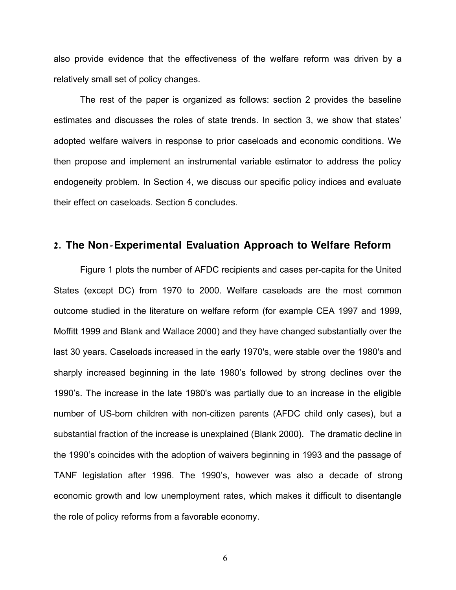also provide evidence that the effectiveness of the welfare reform was driven by a relatively small set of policy changes.

The rest of the paper is organized as follows: section 2 provides the baseline estimates and discusses the roles of state trends. In section 3, we show that states' adopted welfare waivers in response to prior caseloads and economic conditions. We then propose and implement an instrumental variable estimator to address the policy endogeneity problem. In Section 4, we discuss our specific policy indices and evaluate their effect on caseloads. Section 5 concludes.

## 2. The Non-Experimental Evaluation Approach to Welfare Reform

Figure 1 plots the number of AFDC recipients and cases per-capita for the United States (except DC) from 1970 to 2000. Welfare caseloads are the most common outcome studied in the literature on welfare reform (for example CEA 1997 and 1999, Moffitt 1999 and Blank and Wallace 2000) and they have changed substantially over the last 30 years. Caseloads increased in the early 1970's, were stable over the 1980's and sharply increased beginning in the late 1980's followed by strong declines over the 1990's. The increase in the late 1980's was partially due to an increase in the eligible number of US-born children with non-citizen parents (AFDC child only cases), but a substantial fraction of the increase is unexplained (Blank 2000). The dramatic decline in the 1990's coincides with the adoption of waivers beginning in 1993 and the passage of TANF legislation after 1996. The 1990's, however was also a decade of strong economic growth and low unemployment rates, which makes it difficult to disentangle the role of policy reforms from a favorable economy.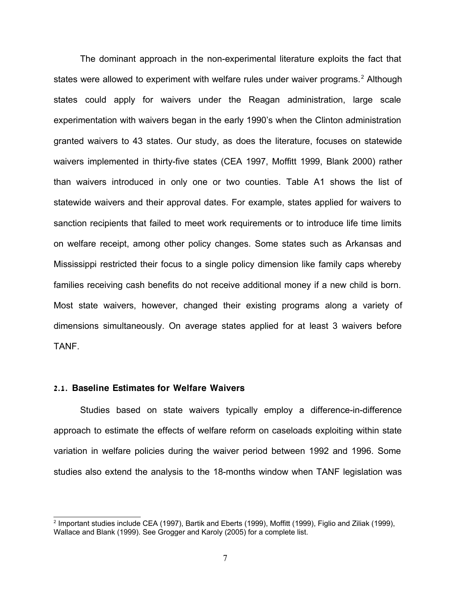The dominant approach in the non-experimental literature exploits the fact that states were allowed to experiment with welfare rules under waiver programs.<sup>[2](#page-7-0)</sup> Although states could apply for waivers under the Reagan administration, large scale experimentation with waivers began in the early 1990's when the Clinton administration granted waivers to 43 states. Our study, as does the literature, focuses on statewide waivers implemented in thirty-five states (CEA 1997, Moffitt 1999, Blank 2000) rather than waivers introduced in only one or two counties. Table A1 shows the list of statewide waivers and their approval dates. For example, states applied for waivers to sanction recipients that failed to meet work requirements or to introduce life time limits on welfare receipt, among other policy changes. Some states such as Arkansas and Mississippi restricted their focus to a single policy dimension like family caps whereby families receiving cash benefits do not receive additional money if a new child is born. Most state waivers, however, changed their existing programs along a variety of dimensions simultaneously. On average states applied for at least 3 waivers before TANF.

#### **2.1. Baseline Estimates for Welfare Waivers**

Studies based on state waivers typically employ a difference-in-difference approach to estimate the effects of welfare reform on caseloads exploiting within state variation in welfare policies during the waiver period between 1992 and 1996. Some studies also extend the analysis to the 18-months window when TANF legislation was

<span id="page-7-0"></span><sup>2</sup> Important studies include CEA (1997), Bartik and Eberts (1999), Moffitt (1999), Figlio and Ziliak (1999), Wallace and Blank (1999). See Grogger and Karoly (2005) for a complete list.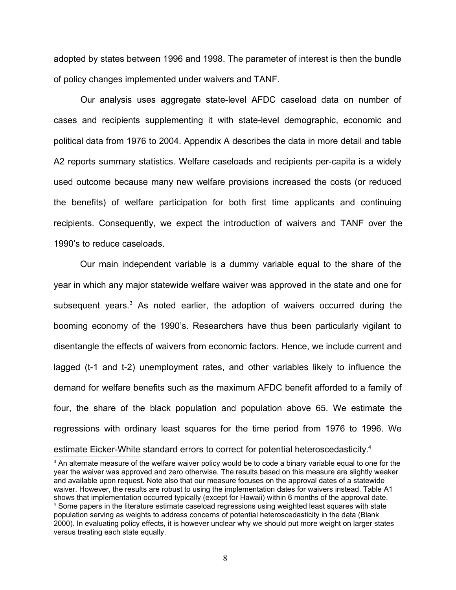adopted by states between 1996 and 1998. The parameter of interest is then the bundle of policy changes implemented under waivers and TANF.

Our analysis uses aggregate state-level AFDC caseload data on number of cases and recipients supplementing it with state-level demographic, economic and political data from 1976 to 2004. Appendix A describes the data in more detail and table A2 reports summary statistics. Welfare caseloads and recipients per-capita is a widely used outcome because many new welfare provisions increased the costs (or reduced the benefits) of welfare participation for both first time applicants and continuing recipients. Consequently, we expect the introduction of waivers and TANF over the 1990's to reduce caseloads.

Our main independent variable is a dummy variable equal to the share of the year in which any major statewide welfare waiver was approved in the state and one for subsequent years.<sup>[3](#page-8-0)</sup> As noted earlier, the adoption of waivers occurred during the booming economy of the 1990's. Researchers have thus been particularly vigilant to disentangle the effects of waivers from economic factors. Hence, we include current and lagged (t-1 and t-2) unemployment rates, and other variables likely to influence the demand for welfare benefits such as the maximum AFDC benefit afforded to a family of four, the share of the black population and population above 65. We estimate the regressions with ordinary least squares for the time period from 1976 to 1996. We estimate Eicker-White standard errors to correct for potential heteroscedasticity.<sup>[4](#page-8-1)</sup>

<span id="page-8-1"></span><span id="page-8-0"></span> $^{\rm 3}$  An alternate measure of the welfare waiver policy would be to code a binary variable equal to one for the year the waiver was approved and zero otherwise. The results based on this measure are slightly weaker and available upon request. Note also that our measure focuses on the approval dates of a statewide waiver. However, the results are robust to using the implementation dates for waivers instead. Table A1 shows that implementation occurred typically (except for Hawaii) within 6 months of the approval date. <sup>4</sup> Some papers in the literature estimate caseload regressions using weighted least squares with state population serving as weights to address concerns of potential heteroscedasticity in the data (Blank 2000). In evaluating policy effects, it is however unclear why we should put more weight on larger states versus treating each state equally.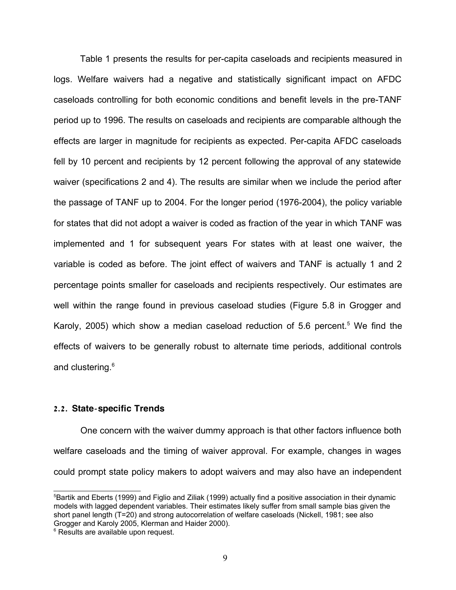Table 1 presents the results for per-capita caseloads and recipients measured in logs. Welfare waivers had a negative and statistically significant impact on AFDC caseloads controlling for both economic conditions and benefit levels in the pre-TANF period up to 1996. The results on caseloads and recipients are comparable although the effects are larger in magnitude for recipients as expected. Per-capita AFDC caseloads fell by 10 percent and recipients by 12 percent following the approval of any statewide waiver (specifications 2 and 4). The results are similar when we include the period after the passage of TANF up to 2004. For the longer period (1976-2004), the policy variable for states that did not adopt a waiver is coded as fraction of the year in which TANF was implemented and 1 for subsequent years For states with at least one waiver, the variable is coded as before. The joint effect of waivers and TANF is actually 1 and 2 percentage points smaller for caseloads and recipients respectively. Our estimates are well within the range found in previous caseload studies (Figure 5.8 in Grogger and Karoly, 200[5](#page-9-0)) which show a median caseload reduction of 5.6 percent.<sup>5</sup> We find the effects of waivers to be generally robust to alternate time periods, additional controls and clustering.<sup>[6](#page-9-1)</sup>

#### 2.2. State-specific Trends

One concern with the waiver dummy approach is that other factors influence both welfare caseloads and the timing of waiver approval. For example, changes in wages could prompt state policy makers to adopt waivers and may also have an independent

<span id="page-9-0"></span><sup>&</sup>lt;sup>5</sup>Bartik and Eberts (1999) and Figlio and Ziliak (1999) actually find a positive association in their dynamic models with lagged dependent variables. Their estimates likely suffer from small sample bias given the short panel length (T=20) and strong autocorrelation of welfare caseloads (Nickell, 1981; see also Grogger and Karoly 2005, Klerman and Haider 2000).

<span id="page-9-1"></span><sup>&</sup>lt;sup>6</sup> Results are available upon request.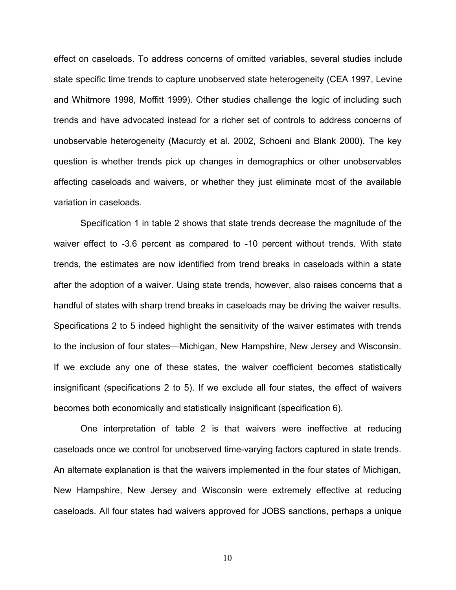effect on caseloads. To address concerns of omitted variables, several studies include state specific time trends to capture unobserved state heterogeneity (CEA 1997, Levine and Whitmore 1998, Moffitt 1999). Other studies challenge the logic of including such trends and have advocated instead for a richer set of controls to address concerns of unobservable heterogeneity (Macurdy et al. 2002, Schoeni and Blank 2000). The key question is whether trends pick up changes in demographics or other unobservables affecting caseloads and waivers, or whether they just eliminate most of the available variation in caseloads.

Specification 1 in table 2 shows that state trends decrease the magnitude of the waiver effect to -3.6 percent as compared to -10 percent without trends. With state trends, the estimates are now identified from trend breaks in caseloads within a state after the adoption of a waiver. Using state trends, however, also raises concerns that a handful of states with sharp trend breaks in caseloads may be driving the waiver results. Specifications 2 to 5 indeed highlight the sensitivity of the waiver estimates with trends to the inclusion of four states—Michigan, New Hampshire, New Jersey and Wisconsin. If we exclude any one of these states, the waiver coefficient becomes statistically insignificant (specifications 2 to 5). If we exclude all four states, the effect of waivers becomes both economically and statistically insignificant (specification 6).

One interpretation of table 2 is that waivers were ineffective at reducing caseloads once we control for unobserved time-varying factors captured in state trends. An alternate explanation is that the waivers implemented in the four states of Michigan, New Hampshire, New Jersey and Wisconsin were extremely effective at reducing caseloads. All four states had waivers approved for JOBS sanctions, perhaps a unique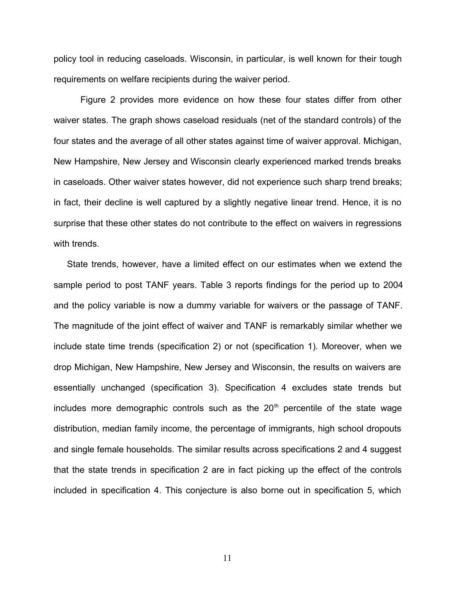policy tool in reducing caseloads. Wisconsin, in particular, is well known for their tough requirements on welfare recipients during the waiver period.

Figure 2 provides more evidence on how these four states differ from other waiver states. The graph shows caseload residuals (net of the standard controls) of the four states and the average of all other states against time of waiver approval. Michigan, New Hampshire, New Jersey and Wisconsin clearly experienced marked trends breaks in caseloads. Other waiver states however, did not experience such sharp trend breaks; in fact, their decline is well captured by a slightly negative linear trend. Hence, it is no surprise that these other states do not contribute to the effect on waivers in regressions with trends.

State trends, however, have a limited effect on our estimates when we extend the sample period to post TANF years. Table 3 reports findings for the period up to 2004 and the policy variable is now a dummy variable for waivers or the passage of TANF. The magnitude of the joint effect of waiver and TANF is remarkably similar whether we include state time trends (specification 2) or not (specification 1). Moreover, when we drop Michigan, New Hampshire, New Jersey and Wisconsin, the results on waivers are essentially unchanged (specification 3). Specification 4 excludes state trends but includes more demographic controls such as the  $20<sup>th</sup>$  percentile of the state wage distribution, median family income, the percentage of immigrants, high school dropouts and single female households. The similar results across specifications 2 and 4 suggest that the state trends in specification 2 are in fact picking up the effect of the controls included in specification 4. This conjecture is also borne out in specification 5, which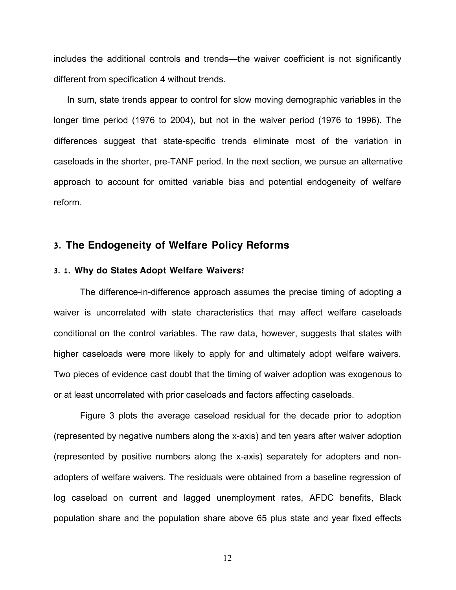includes the additional controls and trends—the waiver coefficient is not significantly different from specification 4 without trends.

In sum, state trends appear to control for slow moving demographic variables in the longer time period (1976 to 2004), but not in the waiver period (1976 to 1996). The differences suggest that state-specific trends eliminate most of the variation in caseloads in the shorter, pre-TANF period. In the next section, we pursue an alternative approach to account for omitted variable bias and potential endogeneity of welfare reform.

## **3. The Endogeneity of Welfare Policy Reforms**

#### **3. 1. ? Why do States Adopt Welfare Waivers**

The difference-in-difference approach assumes the precise timing of adopting a waiver is uncorrelated with state characteristics that may affect welfare caseloads conditional on the control variables. The raw data, however, suggests that states with higher caseloads were more likely to apply for and ultimately adopt welfare waivers. Two pieces of evidence cast doubt that the timing of waiver adoption was exogenous to or at least uncorrelated with prior caseloads and factors affecting caseloads.

Figure 3 plots the average caseload residual for the decade prior to adoption (represented by negative numbers along the x-axis) and ten years after waiver adoption (represented by positive numbers along the x-axis) separately for adopters and nonadopters of welfare waivers. The residuals were obtained from a baseline regression of log caseload on current and lagged unemployment rates, AFDC benefits, Black population share and the population share above 65 plus state and year fixed effects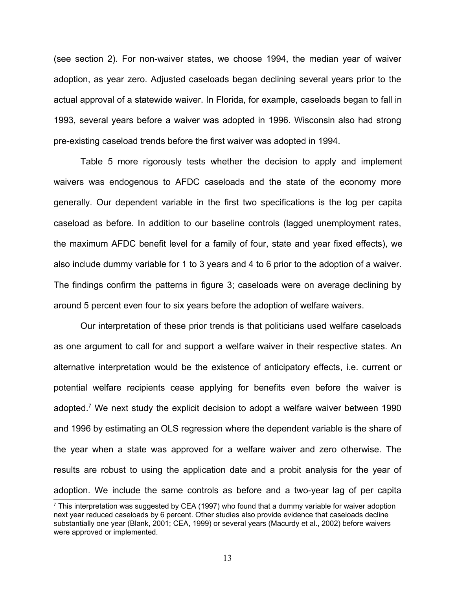(see section 2). For non-waiver states, we choose 1994, the median year of waiver adoption, as year zero. Adjusted caseloads began declining several years prior to the actual approval of a statewide waiver. In Florida, for example, caseloads began to fall in 1993, several years before a waiver was adopted in 1996. Wisconsin also had strong pre-existing caseload trends before the first waiver was adopted in 1994.

Table 5 more rigorously tests whether the decision to apply and implement waivers was endogenous to AFDC caseloads and the state of the economy more generally. Our dependent variable in the first two specifications is the log per capita caseload as before. In addition to our baseline controls (lagged unemployment rates, the maximum AFDC benefit level for a family of four, state and year fixed effects), we also include dummy variable for 1 to 3 years and 4 to 6 prior to the adoption of a waiver. The findings confirm the patterns in figure 3; caseloads were on average declining by around 5 percent even four to six years before the adoption of welfare waivers.

Our interpretation of these prior trends is that politicians used welfare caseloads as one argument to call for and support a welfare waiver in their respective states. An alternative interpretation would be the existence of anticipatory effects, i.e. current or potential welfare recipients cease applying for benefits even before the waiver is adopted.<sup>[7](#page-13-0)</sup> We next study the explicit decision to adopt a welfare waiver between 1990 and 1996 by estimating an OLS regression where the dependent variable is the share of the year when a state was approved for a welfare waiver and zero otherwise. The results are robust to using the application date and a probit analysis for the year of adoption. We include the same controls as before and a two-year lag of per capita

<span id="page-13-0"></span> $^7$  This interpretation was suggested by CEA (1997) who found that a dummy variable for waiver adoption next year reduced caseloads by 6 percent. Other studies also provide evidence that caseloads decline substantially one year (Blank, 2001; CEA, 1999) or several years (Macurdy et al., 2002) before waivers were approved or implemented.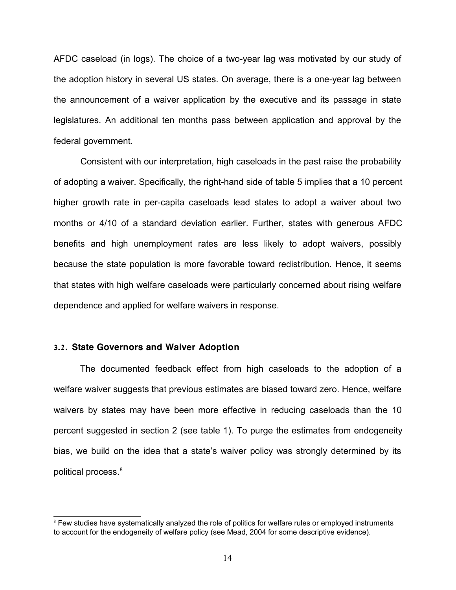AFDC caseload (in logs). The choice of a two-year lag was motivated by our study of the adoption history in several US states. On average, there is a one-year lag between the announcement of a waiver application by the executive and its passage in state legislatures. An additional ten months pass between application and approval by the federal government.

Consistent with our interpretation, high caseloads in the past raise the probability of adopting a waiver. Specifically, the right-hand side of table 5 implies that a 10 percent higher growth rate in per-capita caseloads lead states to adopt a waiver about two months or 4/10 of a standard deviation earlier. Further, states with generous AFDC benefits and high unemployment rates are less likely to adopt waivers, possibly because the state population is more favorable toward redistribution. Hence, it seems that states with high welfare caseloads were particularly concerned about rising welfare dependence and applied for welfare waivers in response.

#### **3.2. State Governors and Waiver Adoption**

The documented feedback effect from high caseloads to the adoption of a welfare waiver suggests that previous estimates are biased toward zero. Hence, welfare waivers by states may have been more effective in reducing caseloads than the 10 percent suggested in section 2 (see table 1). To purge the estimates from endogeneity bias, we build on the idea that a state's waiver policy was strongly determined by its political process.<sup>[8](#page-14-0)</sup>

<span id="page-14-0"></span><sup>&</sup>lt;sup>8</sup> Few studies have systematically analyzed the role of politics for welfare rules or employed instruments to account for the endogeneity of welfare policy (see Mead, 2004 for some descriptive evidence).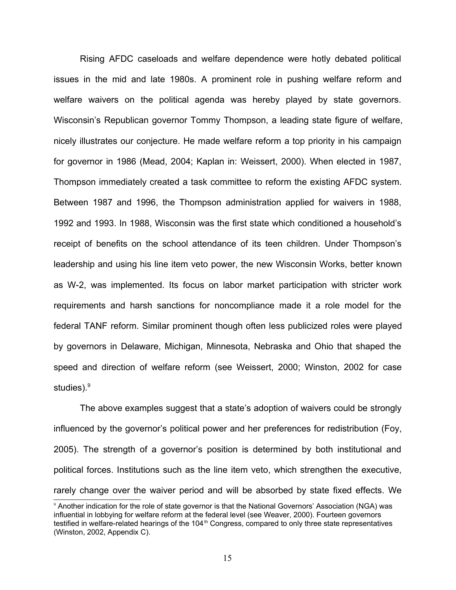Rising AFDC caseloads and welfare dependence were hotly debated political issues in the mid and late 1980s. A prominent role in pushing welfare reform and welfare waivers on the political agenda was hereby played by state governors. Wisconsin's Republican governor Tommy Thompson, a leading state figure of welfare, nicely illustrates our conjecture. He made welfare reform a top priority in his campaign for governor in 1986 (Mead, 2004; Kaplan in: Weissert, 2000). When elected in 1987, Thompson immediately created a task committee to reform the existing AFDC system. Between 1987 and 1996, the Thompson administration applied for waivers in 1988, 1992 and 1993. In 1988, Wisconsin was the first state which conditioned a household's receipt of benefits on the school attendance of its teen children. Under Thompson's leadership and using his line item veto power, the new Wisconsin Works, better known as W-2, was implemented. Its focus on labor market participation with stricter work requirements and harsh sanctions for noncompliance made it a role model for the federal TANF reform. Similar prominent though often less publicized roles were played by governors in Delaware, Michigan, Minnesota, Nebraska and Ohio that shaped the speed and direction of welfare reform (see Weissert, 2000; Winston, 2002 for case studies).<sup>[9](#page-15-0)</sup>

The above examples suggest that a state's adoption of waivers could be strongly influenced by the governor's political power and her preferences for redistribution (Foy, 2005). The strength of a governor's position is determined by both institutional and political forces. Institutions such as the line item veto, which strengthen the executive, rarely change over the waiver period and will be absorbed by state fixed effects. We

<span id="page-15-0"></span><sup>9</sup> Another indication for the role of state governor is that the National Governors' Association (NGA) was influential in lobbying for welfare reform at the federal level (see Weaver, 2000). Fourteen governors testified in welfare-related hearings of the 104<sup>th</sup> Congress, compared to only three state representatives (Winston, 2002, Appendix C).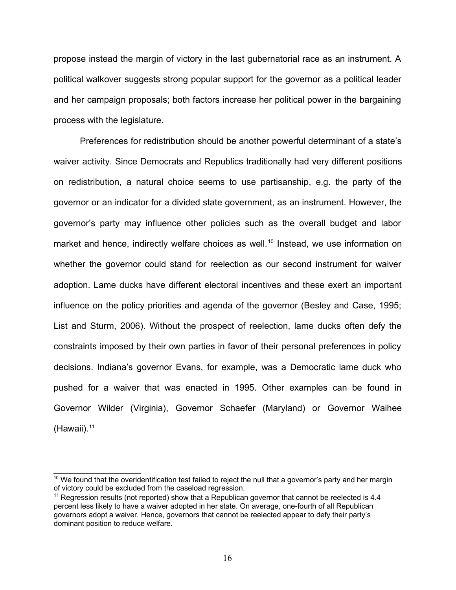propose instead the margin of victory in the last gubernatorial race as an instrument. A political walkover suggests strong popular support for the governor as a political leader and her campaign proposals; both factors increase her political power in the bargaining process with the legislature.

Preferences for redistribution should be another powerful determinant of a state's waiver activity. Since Democrats and Republics traditionally had very different positions on redistribution, a natural choice seems to use partisanship, e.g. the party of the governor or an indicator for a divided state government, as an instrument. However, the governor's party may influence other policies such as the overall budget and labor market and hence, indirectly welfare choices as well.<sup>[10](#page-16-0)</sup> Instead, we use information on whether the governor could stand for reelection as our second instrument for waiver adoption. Lame ducks have different electoral incentives and these exert an important influence on the policy priorities and agenda of the governor (Besley and Case, 1995; List and Sturm, 2006). Without the prospect of reelection, lame ducks often defy the constraints imposed by their own parties in favor of their personal preferences in policy decisions. Indiana's governor Evans, for example, was a Democratic lame duck who pushed for a waiver that was enacted in 1995. Other examples can be found in Governor Wilder (Virginia), Governor Schaefer (Maryland) or Governor Waihee  $(Hawaii).<sup>11</sup>$  $(Hawaii).<sup>11</sup>$  $(Hawaii).<sup>11</sup>$ 

<span id="page-16-0"></span><sup>&</sup>lt;sup>10</sup> We found that the overidentification test failed to reject the null that a governor's party and her margin of victory could be excluded from the caseload regression.

<span id="page-16-1"></span> $11$  Regression results (not reported) show that a Republican governor that cannot be reelected is 4.4 percent less likely to have a waiver adopted in her state. On average, one-fourth of all Republican governors adopt a waiver. Hence, governors that cannot be reelected appear to defy their party's dominant position to reduce welfare.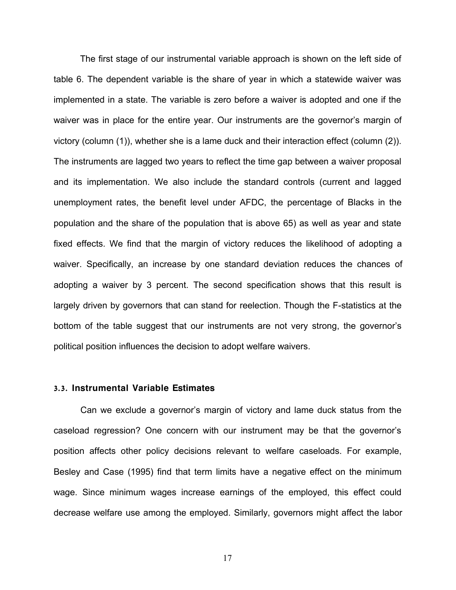The first stage of our instrumental variable approach is shown on the left side of table 6. The dependent variable is the share of year in which a statewide waiver was implemented in a state. The variable is zero before a waiver is adopted and one if the waiver was in place for the entire year. Our instruments are the governor's margin of victory (column (1)), whether she is a lame duck and their interaction effect (column (2)). The instruments are lagged two years to reflect the time gap between a waiver proposal and its implementation. We also include the standard controls (current and lagged unemployment rates, the benefit level under AFDC, the percentage of Blacks in the population and the share of the population that is above 65) as well as year and state fixed effects. We find that the margin of victory reduces the likelihood of adopting a waiver. Specifically, an increase by one standard deviation reduces the chances of adopting a waiver by 3 percent. The second specification shows that this result is largely driven by governors that can stand for reelection. Though the F-statistics at the bottom of the table suggest that our instruments are not very strong, the governor's political position influences the decision to adopt welfare waivers.

#### **3.3. Instrumental Variable Estimates**

Can we exclude a governor's margin of victory and lame duck status from the caseload regression? One concern with our instrument may be that the governor's position affects other policy decisions relevant to welfare caseloads. For example, Besley and Case (1995) find that term limits have a negative effect on the minimum wage. Since minimum wages increase earnings of the employed, this effect could decrease welfare use among the employed. Similarly, governors might affect the labor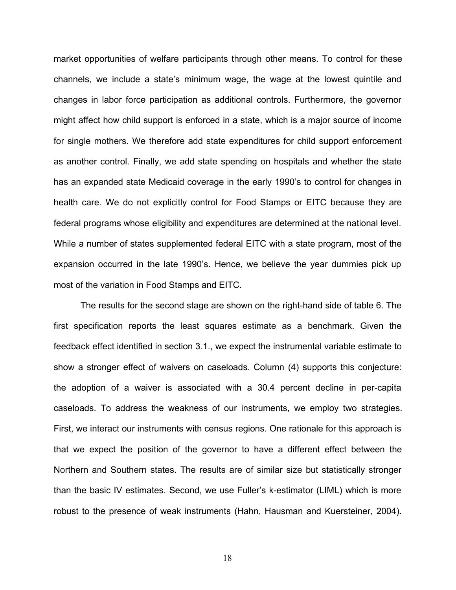market opportunities of welfare participants through other means. To control for these channels, we include a state's minimum wage, the wage at the lowest quintile and changes in labor force participation as additional controls. Furthermore, the governor might affect how child support is enforced in a state, which is a major source of income for single mothers. We therefore add state expenditures for child support enforcement as another control. Finally, we add state spending on hospitals and whether the state has an expanded state Medicaid coverage in the early 1990's to control for changes in health care. We do not explicitly control for Food Stamps or EITC because they are federal programs whose eligibility and expenditures are determined at the national level. While a number of states supplemented federal EITC with a state program, most of the expansion occurred in the late 1990's. Hence, we believe the year dummies pick up most of the variation in Food Stamps and EITC.

The results for the second stage are shown on the right-hand side of table 6. The first specification reports the least squares estimate as a benchmark. Given the feedback effect identified in section 3.1., we expect the instrumental variable estimate to show a stronger effect of waivers on caseloads. Column (4) supports this conjecture: the adoption of a waiver is associated with a 30.4 percent decline in per-capita caseloads. To address the weakness of our instruments, we employ two strategies. First, we interact our instruments with census regions. One rationale for this approach is that we expect the position of the governor to have a different effect between the Northern and Southern states. The results are of similar size but statistically stronger than the basic IV estimates. Second, we use Fuller's k-estimator (LIML) which is more robust to the presence of weak instruments (Hahn, Hausman and Kuersteiner, 2004).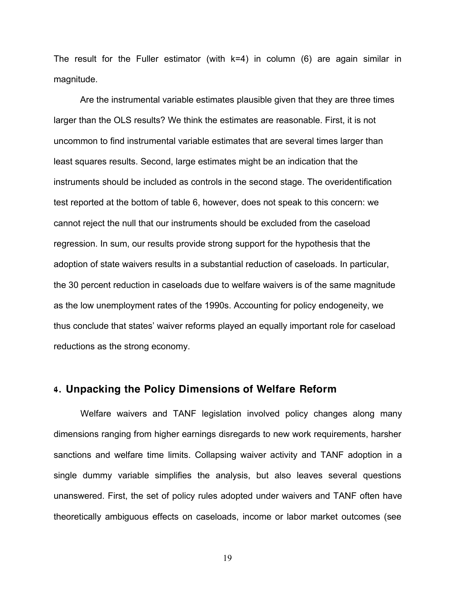The result for the Fuller estimator (with  $k=4$ ) in column (6) are again similar in magnitude.

Are the instrumental variable estimates plausible given that they are three times larger than the OLS results? We think the estimates are reasonable. First, it is not uncommon to find instrumental variable estimates that are several times larger than least squares results. Second, large estimates might be an indication that the instruments should be included as controls in the second stage. The overidentification test reported at the bottom of table 6, however, does not speak to this concern: we cannot reject the null that our instruments should be excluded from the caseload regression. In sum, our results provide strong support for the hypothesis that the adoption of state waivers results in a substantial reduction of caseloads. In particular, the 30 percent reduction in caseloads due to welfare waivers is of the same magnitude as the low unemployment rates of the 1990s. Accounting for policy endogeneity, we thus conclude that states' waiver reforms played an equally important role for caseload reductions as the strong economy.

## **4. Unpacking the Policy Dimensions of Welfare Reform**

Welfare waivers and TANF legislation involved policy changes along many dimensions ranging from higher earnings disregards to new work requirements, harsher sanctions and welfare time limits. Collapsing waiver activity and TANF adoption in a single dummy variable simplifies the analysis, but also leaves several questions unanswered. First, the set of policy rules adopted under waivers and TANF often have theoretically ambiguous effects on caseloads, income or labor market outcomes (see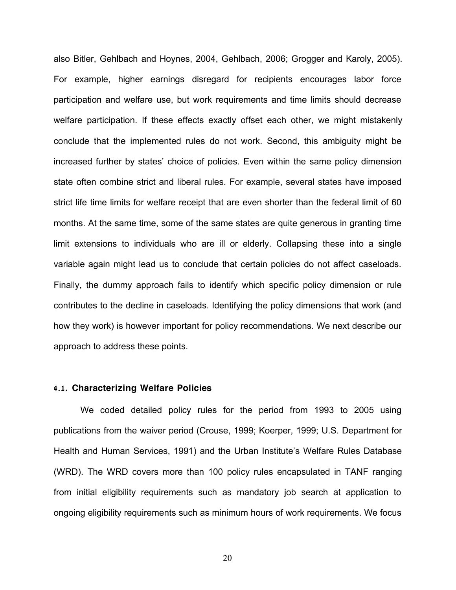also Bitler, Gehlbach and Hoynes, 2004, Gehlbach, 2006; Grogger and Karoly, 2005). For example, higher earnings disregard for recipients encourages labor force participation and welfare use, but work requirements and time limits should decrease welfare participation. If these effects exactly offset each other, we might mistakenly conclude that the implemented rules do not work. Second, this ambiguity might be increased further by states' choice of policies. Even within the same policy dimension state often combine strict and liberal rules. For example, several states have imposed strict life time limits for welfare receipt that are even shorter than the federal limit of 60 months. At the same time, some of the same states are quite generous in granting time limit extensions to individuals who are ill or elderly. Collapsing these into a single variable again might lead us to conclude that certain policies do not affect caseloads. Finally, the dummy approach fails to identify which specific policy dimension or rule contributes to the decline in caseloads. Identifying the policy dimensions that work (and how they work) is however important for policy recommendations. We next describe our approach to address these points.

#### **4.1. Characterizing Welfare Policies**

We coded detailed policy rules for the period from 1993 to 2005 using publications from the waiver period (Crouse, 1999; Koerper, 1999; U.S. Department for Health and Human Services, 1991) and the Urban Institute's Welfare Rules Database (WRD). The WRD covers more than 100 policy rules encapsulated in TANF ranging from initial eligibility requirements such as mandatory job search at application to ongoing eligibility requirements such as minimum hours of work requirements. We focus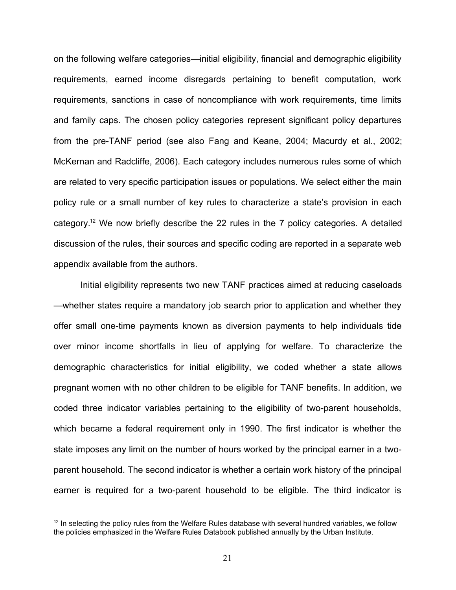on the following welfare categories—initial eligibility, financial and demographic eligibility requirements, earned income disregards pertaining to benefit computation, work requirements, sanctions in case of noncompliance with work requirements, time limits and family caps. The chosen policy categories represent significant policy departures from the pre-TANF period (see also Fang and Keane, 2004; Macurdy et al., 2002; McKernan and Radcliffe, 2006). Each category includes numerous rules some of which are related to very specific participation issues or populations. We select either the main policy rule or a small number of key rules to characterize a state's provision in each category.[12](#page-21-0) We now briefly describe the 22 rules in the 7 policy categories. A detailed discussion of the rules, their sources and specific coding are reported in a separate web appendix available from the authors.

Initial eligibility represents two new TANF practices aimed at reducing caseloads —whether states require a mandatory job search prior to application and whether they offer small one-time payments known as diversion payments to help individuals tide over minor income shortfalls in lieu of applying for welfare. To characterize the demographic characteristics for initial eligibility, we coded whether a state allows pregnant women with no other children to be eligible for TANF benefits. In addition, we coded three indicator variables pertaining to the eligibility of two-parent households, which became a federal requirement only in 1990. The first indicator is whether the state imposes any limit on the number of hours worked by the principal earner in a twoparent household. The second indicator is whether a certain work history of the principal earner is required for a two-parent household to be eligible. The third indicator is

<span id="page-21-0"></span> $12$  In selecting the policy rules from the Welfare Rules database with several hundred variables, we follow the policies emphasized in the Welfare Rules Databook published annually by the Urban Institute.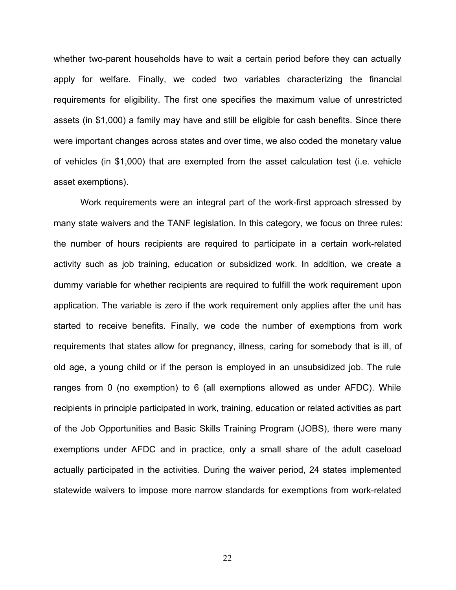whether two-parent households have to wait a certain period before they can actually apply for welfare. Finally, we coded two variables characterizing the financial requirements for eligibility. The first one specifies the maximum value of unrestricted assets (in \$1,000) a family may have and still be eligible for cash benefits. Since there were important changes across states and over time, we also coded the monetary value of vehicles (in \$1,000) that are exempted from the asset calculation test (i.e. vehicle asset exemptions).

Work requirements were an integral part of the work-first approach stressed by many state waivers and the TANF legislation. In this category, we focus on three rules: the number of hours recipients are required to participate in a certain work-related activity such as job training, education or subsidized work. In addition, we create a dummy variable for whether recipients are required to fulfill the work requirement upon application. The variable is zero if the work requirement only applies after the unit has started to receive benefits. Finally, we code the number of exemptions from work requirements that states allow for pregnancy, illness, caring for somebody that is ill, of old age, a young child or if the person is employed in an unsubsidized job. The rule ranges from 0 (no exemption) to 6 (all exemptions allowed as under AFDC). While recipients in principle participated in work, training, education or related activities as part of the Job Opportunities and Basic Skills Training Program (JOBS), there were many exemptions under AFDC and in practice, only a small share of the adult caseload actually participated in the activities. During the waiver period, 24 states implemented statewide waivers to impose more narrow standards for exemptions from work-related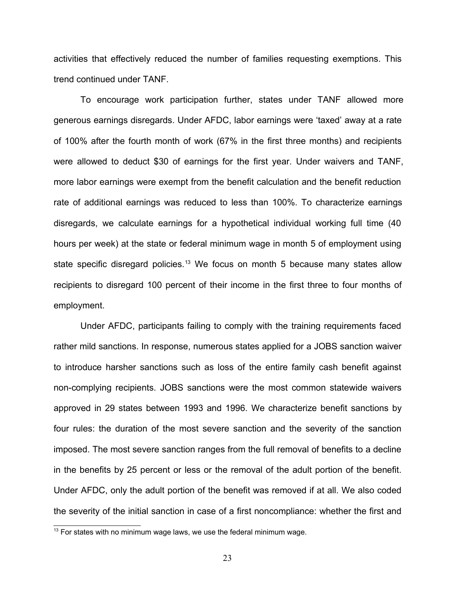activities that effectively reduced the number of families requesting exemptions. This trend continued under TANF.

To encourage work participation further, states under TANF allowed more generous earnings disregards. Under AFDC, labor earnings were 'taxed' away at a rate of 100% after the fourth month of work (67% in the first three months) and recipients were allowed to deduct \$30 of earnings for the first year. Under waivers and TANF, more labor earnings were exempt from the benefit calculation and the benefit reduction rate of additional earnings was reduced to less than 100%. To characterize earnings disregards, we calculate earnings for a hypothetical individual working full time (40 hours per week) at the state or federal minimum wage in month 5 of employment using state specific disregard policies.<sup>[13](#page-23-0)</sup> We focus on month 5 because many states allow recipients to disregard 100 percent of their income in the first three to four months of employment.

Under AFDC, participants failing to comply with the training requirements faced rather mild sanctions. In response, numerous states applied for a JOBS sanction waiver to introduce harsher sanctions such as loss of the entire family cash benefit against non-complying recipients. JOBS sanctions were the most common statewide waivers approved in 29 states between 1993 and 1996. We characterize benefit sanctions by four rules: the duration of the most severe sanction and the severity of the sanction imposed. The most severe sanction ranges from the full removal of benefits to a decline in the benefits by 25 percent or less or the removal of the adult portion of the benefit. Under AFDC, only the adult portion of the benefit was removed if at all. We also coded the severity of the initial sanction in case of a first noncompliance: whether the first and

<span id="page-23-0"></span> $13$  For states with no minimum wage laws, we use the federal minimum wage.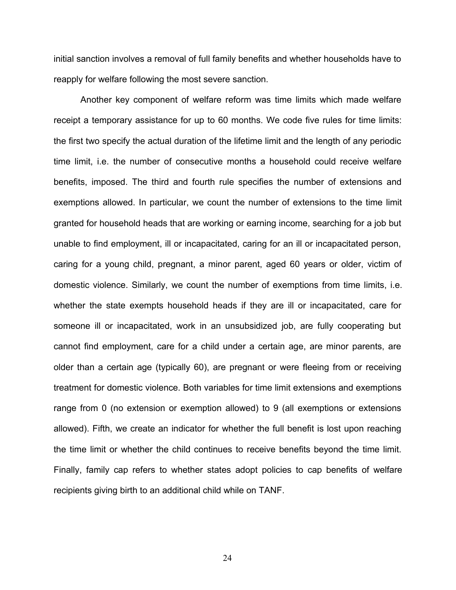initial sanction involves a removal of full family benefits and whether households have to reapply for welfare following the most severe sanction.

Another key component of welfare reform was time limits which made welfare receipt a temporary assistance for up to 60 months. We code five rules for time limits: the first two specify the actual duration of the lifetime limit and the length of any periodic time limit, i.e. the number of consecutive months a household could receive welfare benefits, imposed. The third and fourth rule specifies the number of extensions and exemptions allowed. In particular, we count the number of extensions to the time limit granted for household heads that are working or earning income, searching for a job but unable to find employment, ill or incapacitated, caring for an ill or incapacitated person, caring for a young child, pregnant, a minor parent, aged 60 years or older, victim of domestic violence. Similarly, we count the number of exemptions from time limits, i.e. whether the state exempts household heads if they are ill or incapacitated, care for someone ill or incapacitated, work in an unsubsidized job, are fully cooperating but cannot find employment, care for a child under a certain age, are minor parents, are older than a certain age (typically 60), are pregnant or were fleeing from or receiving treatment for domestic violence. Both variables for time limit extensions and exemptions range from 0 (no extension or exemption allowed) to 9 (all exemptions or extensions allowed). Fifth, we create an indicator for whether the full benefit is lost upon reaching the time limit or whether the child continues to receive benefits beyond the time limit. Finally, family cap refers to whether states adopt policies to cap benefits of welfare recipients giving birth to an additional child while on TANF.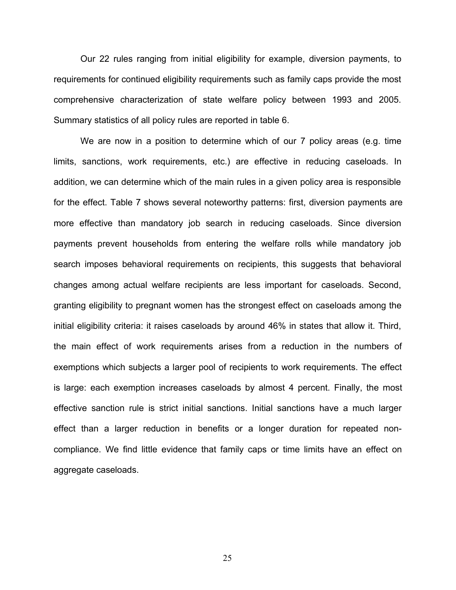Our 22 rules ranging from initial eligibility for example, diversion payments, to requirements for continued eligibility requirements such as family caps provide the most comprehensive characterization of state welfare policy between 1993 and 2005. Summary statistics of all policy rules are reported in table 6.

We are now in a position to determine which of our 7 policy areas (e.g. time limits, sanctions, work requirements, etc.) are effective in reducing caseloads. In addition, we can determine which of the main rules in a given policy area is responsible for the effect. Table 7 shows several noteworthy patterns: first, diversion payments are more effective than mandatory job search in reducing caseloads. Since diversion payments prevent households from entering the welfare rolls while mandatory job search imposes behavioral requirements on recipients, this suggests that behavioral changes among actual welfare recipients are less important for caseloads. Second, granting eligibility to pregnant women has the strongest effect on caseloads among the initial eligibility criteria: it raises caseloads by around 46% in states that allow it. Third, the main effect of work requirements arises from a reduction in the numbers of exemptions which subjects a larger pool of recipients to work requirements. The effect is large: each exemption increases caseloads by almost 4 percent. Finally, the most effective sanction rule is strict initial sanctions. Initial sanctions have a much larger effect than a larger reduction in benefits or a longer duration for repeated noncompliance. We find little evidence that family caps or time limits have an effect on aggregate caseloads.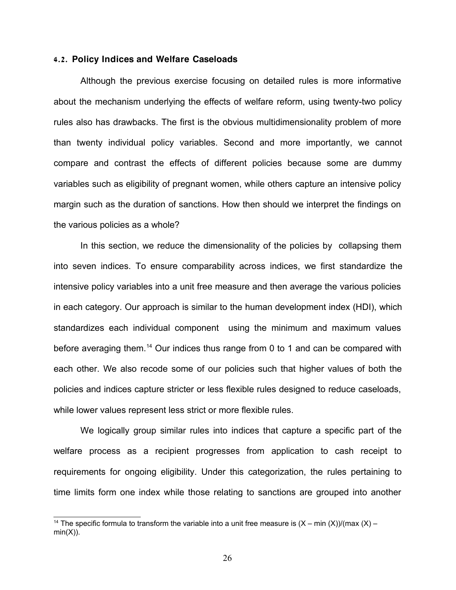#### **4.2. Policy Indices and Welfare Caseloads**

Although the previous exercise focusing on detailed rules is more informative about the mechanism underlying the effects of welfare reform, using twenty-two policy rules also has drawbacks. The first is the obvious multidimensionality problem of more than twenty individual policy variables. Second and more importantly, we cannot compare and contrast the effects of different policies because some are dummy variables such as eligibility of pregnant women, while others capture an intensive policy margin such as the duration of sanctions. How then should we interpret the findings on the various policies as a whole?

In this section, we reduce the dimensionality of the policies by collapsing them into seven indices. To ensure comparability across indices, we first standardize the intensive policy variables into a unit free measure and then average the various policies in each category. Our approach is similar to the human development index (HDI), which standardizes each individual component using the minimum and maximum values before averaging them.[14](#page-26-0) Our indices thus range from 0 to 1 and can be compared with each other. We also recode some of our policies such that higher values of both the policies and indices capture stricter or less flexible rules designed to reduce caseloads, while lower values represent less strict or more flexible rules.

We logically group similar rules into indices that capture a specific part of the welfare process as a recipient progresses from application to cash receipt to requirements for ongoing eligibility. Under this categorization, the rules pertaining to time limits form one index while those relating to sanctions are grouped into another

<span id="page-26-0"></span><sup>&</sup>lt;sup>14</sup> The specific formula to transform the variable into a unit free measure is  $(X - min(X))/(max(X)$  $min(X)$ ).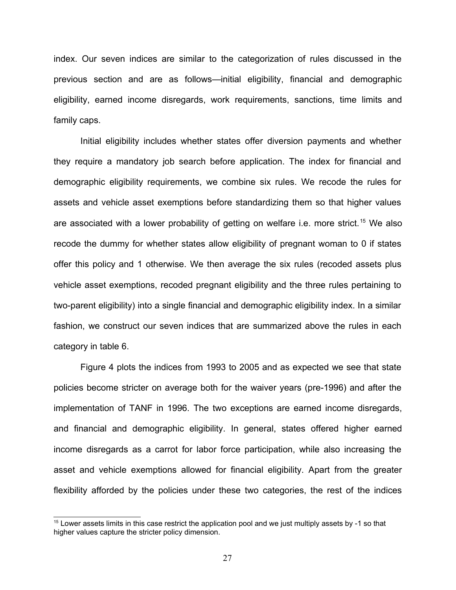index. Our seven indices are similar to the categorization of rules discussed in the previous section and are as follows—initial eligibility, financial and demographic eligibility, earned income disregards, work requirements, sanctions, time limits and family caps.

Initial eligibility includes whether states offer diversion payments and whether they require a mandatory job search before application. The index for financial and demographic eligibility requirements, we combine six rules. We recode the rules for assets and vehicle asset exemptions before standardizing them so that higher values are associated with a lower probability of getting on welfare i.e. more strict.<sup>[15](#page-27-0)</sup> We also recode the dummy for whether states allow eligibility of pregnant woman to 0 if states offer this policy and 1 otherwise. We then average the six rules (recoded assets plus vehicle asset exemptions, recoded pregnant eligibility and the three rules pertaining to two-parent eligibility) into a single financial and demographic eligibility index. In a similar fashion, we construct our seven indices that are summarized above the rules in each category in table 6.

Figure 4 plots the indices from 1993 to 2005 and as expected we see that state policies become stricter on average both for the waiver years (pre-1996) and after the implementation of TANF in 1996. The two exceptions are earned income disregards, and financial and demographic eligibility. In general, states offered higher earned income disregards as a carrot for labor force participation, while also increasing the asset and vehicle exemptions allowed for financial eligibility. Apart from the greater flexibility afforded by the policies under these two categories, the rest of the indices

<span id="page-27-0"></span><sup>&</sup>lt;sup>15</sup> Lower assets limits in this case restrict the application pool and we just multiply assets by -1 so that higher values capture the stricter policy dimension.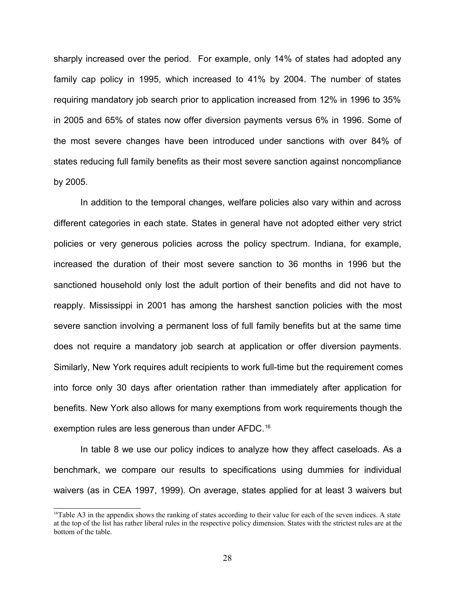sharply increased over the period. For example, only 14% of states had adopted any family cap policy in 1995, which increased to 41% by 2004. The number of states requiring mandatory job search prior to application increased from 12% in 1996 to 35% in 2005 and 65% of states now offer diversion payments versus 6% in 1996. Some of the most severe changes have been introduced under sanctions with over 84% of states reducing full family benefits as their most severe sanction against noncompliance by 2005.

In addition to the temporal changes, welfare policies also vary within and across different categories in each state. States in general have not adopted either very strict policies or very generous policies across the policy spectrum. Indiana, for example, increased the duration of their most severe sanction to 36 months in 1996 but the sanctioned household only lost the adult portion of their benefits and did not have to reapply. Mississippi in 2001 has among the harshest sanction policies with the most severe sanction involving a permanent loss of full family benefits but at the same time does not require a mandatory job search at application or offer diversion payments. Similarly, New York requires adult recipients to work full-time but the requirement comes into force only 30 days after orientation rather than immediately after application for benefits. New York also allows for many exemptions from work requirements though the exemption rules are less generous than under AFDC.<sup>[16](#page-28-0)</sup>

In table 8 we use our policy indices to analyze how they affect caseloads. As a benchmark, we compare our results to specifications using dummies for individual waivers (as in CEA 1997, 1999). On average, states applied for at least 3 waivers but

<span id="page-28-0"></span> $16$ Table A3 in the appendix shows the ranking of states according to their value for each of the seven indices. A state at the top of the list has rather liberal rules in the respective policy dimension. States with the strictest rules are at the bottom of the table.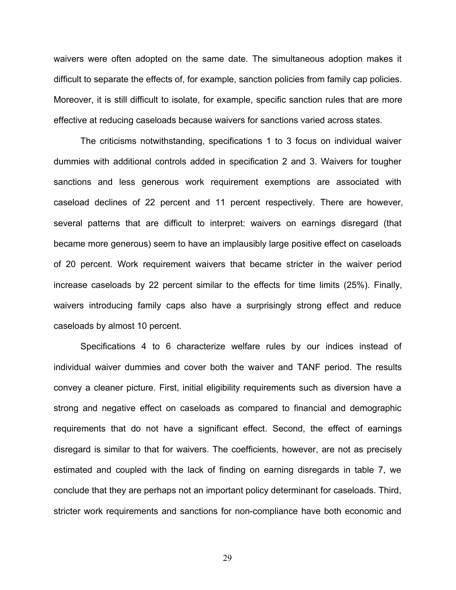waivers were often adopted on the same date. The simultaneous adoption makes it difficult to separate the effects of, for example, sanction policies from family cap policies. Moreover, it is still difficult to isolate, for example, specific sanction rules that are more effective at reducing caseloads because waivers for sanctions varied across states.

The criticisms notwithstanding, specifications 1 to 3 focus on individual waiver dummies with additional controls added in specification 2 and 3. Waivers for tougher sanctions and less generous work requirement exemptions are associated with caseload declines of 22 percent and 11 percent respectively. There are however, several patterns that are difficult to interpret: waivers on earnings disregard (that became more generous) seem to have an implausibly large positive effect on caseloads of 20 percent. Work requirement waivers that became stricter in the waiver period increase caseloads by 22 percent similar to the effects for time limits (25%). Finally, waivers introducing family caps also have a surprisingly strong effect and reduce caseloads by almost 10 percent.

Specifications 4 to 6 characterize welfare rules by our indices instead of individual waiver dummies and cover both the waiver and TANF period. The results convey a cleaner picture. First, initial eligibility requirements such as diversion have a strong and negative effect on caseloads as compared to financial and demographic requirements that do not have a significant effect. Second, the effect of earnings disregard is similar to that for waivers. The coefficients, however, are not as precisely estimated and coupled with the lack of finding on earning disregards in table 7, we conclude that they are perhaps not an important policy determinant for caseloads. Third, stricter work requirements and sanctions for non-compliance have both economic and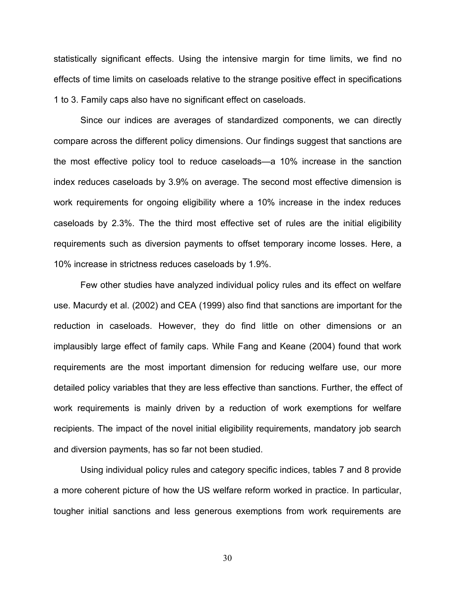statistically significant effects. Using the intensive margin for time limits, we find no effects of time limits on caseloads relative to the strange positive effect in specifications 1 to 3. Family caps also have no significant effect on caseloads.

Since our indices are averages of standardized components, we can directly compare across the different policy dimensions. Our findings suggest that sanctions are the most effective policy tool to reduce caseloads—a 10% increase in the sanction index reduces caseloads by 3.9% on average. The second most effective dimension is work requirements for ongoing eligibility where a 10% increase in the index reduces caseloads by 2.3%. The the third most effective set of rules are the initial eligibility requirements such as diversion payments to offset temporary income losses. Here, a 10% increase in strictness reduces caseloads by 1.9%.

Few other studies have analyzed individual policy rules and its effect on welfare use. Macurdy et al. (2002) and CEA (1999) also find that sanctions are important for the reduction in caseloads. However, they do find little on other dimensions or an implausibly large effect of family caps. While Fang and Keane (2004) found that work requirements are the most important dimension for reducing welfare use, our more detailed policy variables that they are less effective than sanctions. Further, the effect of work requirements is mainly driven by a reduction of work exemptions for welfare recipients. The impact of the novel initial eligibility requirements, mandatory job search and diversion payments, has so far not been studied.

Using individual policy rules and category specific indices, tables 7 and 8 provide a more coherent picture of how the US welfare reform worked in practice. In particular, tougher initial sanctions and less generous exemptions from work requirements are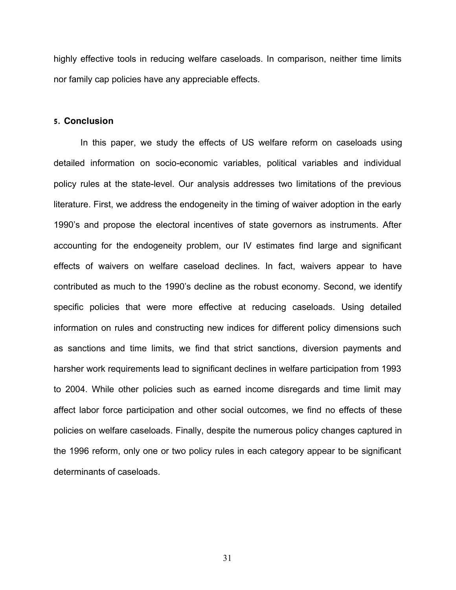highly effective tools in reducing welfare caseloads. In comparison, neither time limits nor family cap policies have any appreciable effects.

#### **5. Conclusion**

In this paper, we study the effects of US welfare reform on caseloads using detailed information on socio-economic variables, political variables and individual policy rules at the state-level. Our analysis addresses two limitations of the previous literature. First, we address the endogeneity in the timing of waiver adoption in the early 1990's and propose the electoral incentives of state governors as instruments. After accounting for the endogeneity problem, our IV estimates find large and significant effects of waivers on welfare caseload declines. In fact, waivers appear to have contributed as much to the 1990's decline as the robust economy. Second, we identify specific policies that were more effective at reducing caseloads. Using detailed information on rules and constructing new indices for different policy dimensions such as sanctions and time limits, we find that strict sanctions, diversion payments and harsher work requirements lead to significant declines in welfare participation from 1993 to 2004. While other policies such as earned income disregards and time limit may affect labor force participation and other social outcomes, we find no effects of these policies on welfare caseloads. Finally, despite the numerous policy changes captured in the 1996 reform, only one or two policy rules in each category appear to be significant determinants of caseloads.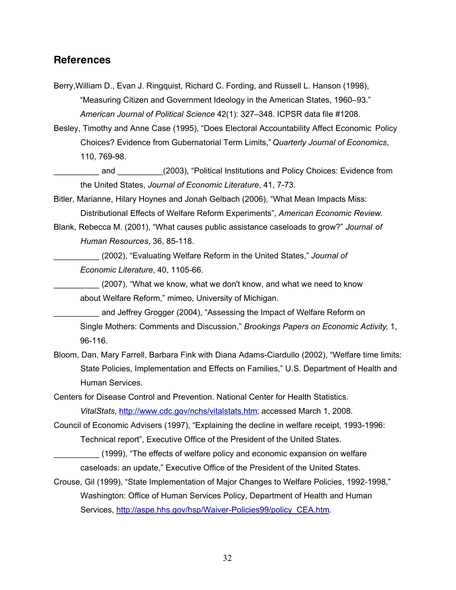## **References**

Berry,William D., Evan J. Ringquist, Richard C. Fording, and Russell L. Hanson (1998), "Measuring Citizen and Government Ideology in the American States, 1960–93." *American Journal of Political Science* 42(1): 327–348. ICPSR data file #1208.

Besley, Timothy and Anne Case (1995), "Does Electoral Accountability Affect Economic Policy Choices? Evidence from Gubernatorial Term Limits," *Quarterly Journal of Economics*, 110, 769-98.

\_\_\_\_\_\_\_\_\_\_ and \_\_\_\_\_\_\_\_\_\_(2003), "Political Institutions and Policy Choices: Evidence from the United States, *Journal of Economic Literature*, 41, 7-73.

Bitler, Marianne, Hilary Hoynes and Jonah Gelbach (2006), "What Mean Impacts Miss: Distributional Effects of Welfare Reform Experiments", *American Economic Review*.

Blank, Rebecca M. (2001), "What causes public assistance caseloads to grow?" *Journal of Human Resources*, 36, 85-118.

\_\_\_\_\_\_\_\_\_\_ (2002), "Evaluating Welfare Reform in the United States," *Journal of Economic Literature*, 40, 1105-66.

(2007), "What we know, what we don't know, and what we need to know about Welfare Reform," mimeo, University of Michigan.

and Jeffrey Grogger (2004), "Assessing the Impact of Welfare Reform on Single Mothers: Comments and Discussion," *Brookings Papers on Economic Activity*, 1, 96-116.

Bloom, Dan, Mary Farrell, Barbara Fink with Diana Adams-Ciardullo (2002), "Welfare time limits: State Policies, Implementation and Effects on Families," U.S. Department of Health and Human Services.

Centers for Disease Control and Prevention. National Center for Health Statistics. *VitalStats,* [http://www.cdc.gov/nchs/vitalstats.htm;](http://www.cdc.gov/nchs/vitalstats.htm) accessed March 1, 2008.

Council of Economic Advisers (1997), "Explaining the decline in welfare receipt, 1993-1996:

Technical report", Executive Office of the President of the United States.

- \_\_\_\_\_\_\_\_\_\_ (1999), "The effects of welfare policy and economic expansion on welfare caseloads: an update," Executive Office of the President of the United States.
- Crouse, Gil (1999), "State Implementation of Major Changes to Welfare Policies, 1992-1998," Washington: Office of Human Services Policy, Department of Health and Human Services, [http://aspe.hhs.gov/hsp/Waiver-Policies99/policy\\_CEA.htm.](http://aspe.hhs.gov/hsp/Waiver-Policies99/policy_CEA.htm)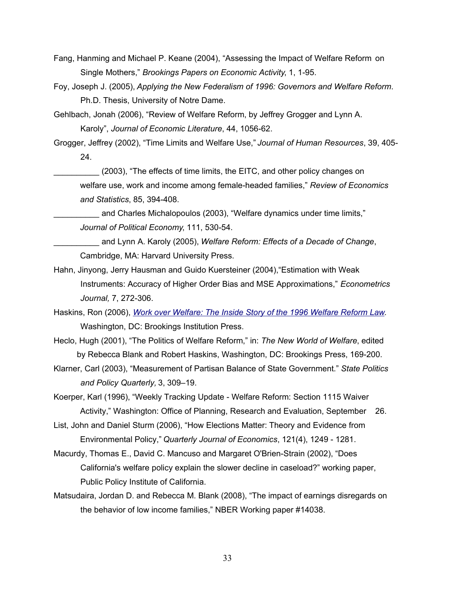Fang, Hanming and Michael P. Keane (2004), "Assessing the Impact of Welfare Reform on Single Mothers," *Brookings Papers on Economic Activity*, 1, 1-95.

Foy, Joseph J. (2005), *Applying the New Federalism of 1996: Governors and Welfare Reform*. Ph.D. Thesis, University of Notre Dame.

Gehlbach, Jonah (2006), "Review of Welfare Reform, by Jeffrey Grogger and Lynn A. Karoly", *Journal of Economic Literature*, 44, 1056-62.

Grogger, Jeffrey (2002), "Time Limits and Welfare Use," *Journal of Human Resources*, 39, 405- 24.

\_\_\_\_\_\_\_\_\_\_ (2003), "The effects of time limits, the EITC, and other policy changes on welfare use, work and income among female-headed families," *Review of Economics and Statistics*, 85, 394-408.

and Charles Michalopoulos (2003), "Welfare dynamics under time limits," *Journal of Political Economy*, 111, 530-54.

and Lynn A. Karoly (2005), *Welfare Reform: Effects of a Decade of Change*, Cambridge, MA: Harvard University Press.

- Hahn, Jinyong, Jerry Hausman and Guido Kuersteiner (2004),"Estimation with Weak Instruments: Accuracy of Higher Order Bias and MSE Approximations," *Econometrics Journal,* 7, 272-306.
- Haskins, Ron (2006), *[Work over Welfare: The Inside Story of the 1996 Welfare Reform Law](http://www.amazon.com/Work-over-Welfare-Inside-Reform/dp/0815735154/ref=pd_bbs_sr_1?ie=UTF8&s=books&qid=1204579807&sr=8-1)*. Washington, DC: Brookings Institution Press.
- Heclo, Hugh (2001), "The Politics of Welfare Reform," in: *The New World of Welfare*, edited by Rebecca Blank and Robert Haskins, Washington, DC: Brookings Press, 169-200.
- Klarner, Carl (2003), "Measurement of Partisan Balance of State Government." *State Politics and Policy Quarterly,* 3, 309–19.

Koerper, Karl (1996), "Weekly Tracking Update - Welfare Reform: Section 1115 Waiver Activity," Washington: Office of Planning, Research and Evaluation, September 26.

- List, John and Daniel Sturm (2006), "How Elections Matter: Theory and Evidence from Environmental Policy," *Quarterly Journal of Economics*, 121(4), 1249 - 1281.
- Macurdy, Thomas E., David C. Mancuso and Margaret O'Brien-Strain (2002), "Does California's welfare policy explain the slower decline in caseload?" working paper, Public Policy Institute of California.
- Matsudaira, Jordan D. and Rebecca M. Blank (2008), "The impact of earnings disregards on the behavior of low income families," NBER Working paper #14038.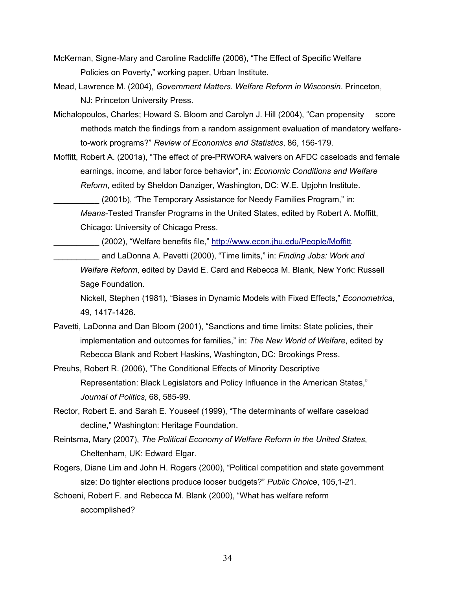- McKernan, Signe-Mary and Caroline Radcliffe (2006), "The Effect of Specific Welfare Policies on Poverty," working paper, Urban Institute.
- Mead, Lawrence M. (2004), *Government Matters. Welfare Reform in Wisconsin*. Princeton, NJ: Princeton University Press.
- Michalopoulos, Charles; Howard S. Bloom and Carolyn J. Hill (2004), "Can propensity score methods match the findings from a random assignment evaluation of mandatory welfareto-work programs?" *Review of Economics and Statistics*, 86, 156-179.
- Moffitt, Robert A. (2001a), "The effect of pre-PRWORA waivers on AFDC caseloads and female earnings, income, and labor force behavior", in: *Economic Conditions and Welfare Reform*, edited by Sheldon Danziger, Washington, DC: W.E. Upjohn Institute.

(2001b), "The Temporary Assistance for Needy Families Program," in: *Means-*Tested Transfer Programs in the United States, edited by Robert A. Moffitt, Chicago: University of Chicago Press.

(2002), "Welfare benefits file," [http://www.econ.jhu.edu/People/Moffitt.](http://www.econ.jhu.edu/People/Moffitt)

\_\_\_\_\_\_\_\_\_\_ and LaDonna A. Pavetti (2000), "Time limits," in: *Finding Jobs: Work and Welfare Reform*, edited by David E. Card and Rebecca M. Blank, New York: Russell Sage Foundation.

Nickell, Stephen (1981), "Biases in Dynamic Models with Fixed Effects," *Econometrica*, 49, 1417-1426.

- Pavetti, LaDonna and Dan Bloom (2001), "Sanctions and time limits: State policies, their implementation and outcomes for families," in: *The New World of Welfare*, edited by Rebecca Blank and Robert Haskins, Washington, DC: Brookings Press.
- Preuhs, Robert R. (2006), "The Conditional Effects of Minority Descriptive Representation: Black Legislators and Policy Influence in the American States," *Journal of Politics*, 68, 585-99.
- Rector, Robert E. and Sarah E. Youseef (1999), "The determinants of welfare caseload decline," Washington: Heritage Foundation.
- Reintsma, Mary (2007), *The Political Economy of Welfare Reform in the United States*, Cheltenham, UK: Edward Elgar.
- Rogers, Diane Lim and John H. Rogers (2000), "Political competition and state government size: Do tighter elections produce looser budgets?" *Public Choice*, 105,1-21.

Schoeni, Robert F. and Rebecca M. Blank (2000), "What has welfare reform accomplished?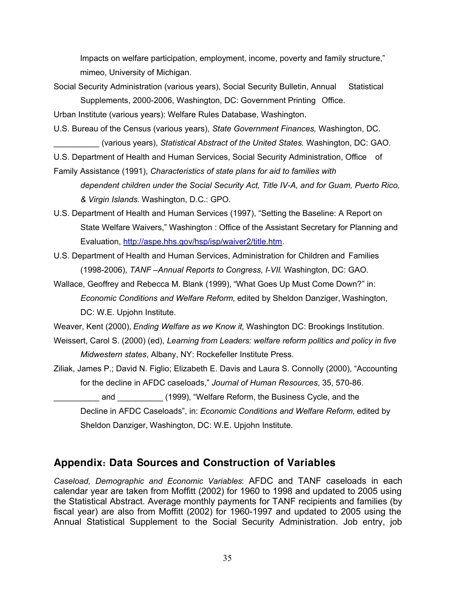Impacts on welfare participation, employment, income, poverty and family structure," mimeo, University of Michigan.

Social Security Administration (various years), Social Security Bulletin, Annual Statistical Supplements, 2000-2006, Washington, DC: Government Printing Office.

Urban Institute (various years): Welfare Rules Database, Washington.

U.S. Bureau of the Census (various years), *State Government Finances,* Washington, DC. \_\_\_\_\_\_\_\_\_\_ (various years), *Statistical Abstract of the United States.* Washington, DC: GAO.

U.S. Department of Health and Human Services, Social Security Administration, Office of

- Family Assistance (1991), *Characteristics of state plans for aid to families with dependent children under the Social Security Act, Title IV-A, and for Guam, Puerto Rico, & Virgin Islands*. Washington, D.C.: GPO.
- U.S. Department of Health and Human Services (1997), "Setting the Baseline: A Report on State Welfare Waivers," Washington : Office of the Assistant Secretary for Planning and Evaluation, [http://aspe.hhs.gov/hsp/isp/waiver2/title.htm.](http://aspe.hhs.gov/hsp/isp/waiver2/title.htm)
- U.S. Department of Health and Human Services, Administration for Children and Families (1998-2006), *TANF –Annual Reports to Congress, I-VII*. Washington, DC: GAO.
- Wallace, Geoffrey and Rebecca M. Blank (1999), "What Goes Up Must Come Down?" in: *Economic Conditions and Welfare Reform*, edited by Sheldon Danziger, Washington, DC: W.E. Upjohn Institute.
- Weaver, Kent (2000), *Ending Welfare as we Know it*, Washington DC: Brookings Institution.
- Weissert, Carol S. (2000) (ed), *Learning from Leaders: welfare reform politics and policy in five Midwestern states*, Albany, NY: Rockefeller Institute Press.
- Ziliak, James P.; David N. Figlio; Elizabeth E. Davis and Laura S. Connolly (2000), "Accounting for the decline in AFDC caseloads," *Journal of Human Resources*, 35, 570-86.

and \_\_\_\_\_\_\_\_\_\_ (1999), "Welfare Reform, the Business Cycle, and the Decline in AFDC Caseloads", in: *Economic Conditions and Welfare Reform*, edited by Sheldon Danziger, Washington, DC: W.E. Upjohn Institute.

## **Appendix: Data Sources and Construction of Variables**

*Caseload, Demographic and Economic Variables*: AFDC and TANF caseloads in each calendar year are taken from Moffitt (2002) for 1960 to 1998 and updated to 2005 using the Statistical Abstract. Average monthly payments for TANF recipients and families (by fiscal year) are also from Moffitt (2002) for 1960-1997 and updated to 2005 using the Annual Statistical Supplement to the Social Security Administration. Job entry, job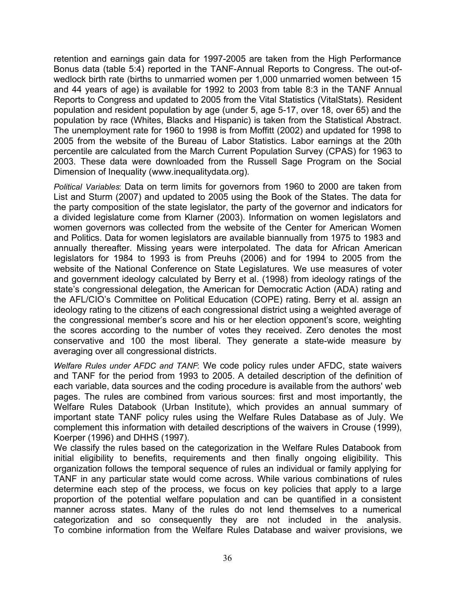retention and earnings gain data for 1997-2005 are taken from the High Performance Bonus data (table 5:4) reported in the TANF-Annual Reports to Congress. The out-ofwedlock birth rate (births to unmarried women per 1,000 unmarried women between 15 and 44 years of age) is available for 1992 to 2003 from table 8:3 in the TANF Annual Reports to Congress and updated to 2005 from the Vital Statistics (VitalStats). Resident population and resident population by age (under 5, age 5-17, over 18, over 65) and the population by race (Whites, Blacks and Hispanic) is taken from the Statistical Abstract. The unemployment rate for 1960 to 1998 is from Moffitt (2002) and updated for 1998 to 2005 from the website of the Bureau of Labor Statistics. Labor earnings at the 20th percentile are calculated from the March Current Population Survey (CPAS) for 1963 to 2003. These data were downloaded from the Russell Sage Program on the Social Dimension of Inequality (www.inequalitydata.org).

*Political Variables*: Data on term limits for governors from 1960 to 2000 are taken from List and Sturm (2007) and updated to 2005 using the Book of the States. The data for the party composition of the state legislator, the party of the governor and indicators for a divided legislature come from Klarner (2003). Information on women legislators and women governors was collected from the website of the Center for American Women and Politics. Data for women legislators are available biannually from 1975 to 1983 and annually thereafter. Missing years were interpolated. The data for African American legislators for 1984 to 1993 is from Preuhs (2006) and for 1994 to 2005 from the website of the National Conference on State Legislatures. We use measures of voter and government ideology calculated by Berry et al. (1998) from ideology ratings of the state's congressional delegation, the American for Democratic Action (ADA) rating and the AFL/CIO's Committee on Political Education (COPE) rating. Berry et al. assign an ideology rating to the citizens of each congressional district using a weighted average of the congressional member's score and his or her election opponent's score, weighting the scores according to the number of votes they received. Zero denotes the most conservative and 100 the most liberal. They generate a state-wide measure by averaging over all congressional districts.

*Welfare Rules under AFDC and TANF*: We code policy rules under AFDC, state waivers and TANF for the period from 1993 to 2005. A detailed description of the definition of each variable, data sources and the coding procedure is available from the authors' web pages. The rules are combined from various sources: first and most importantly, the Welfare Rules Databook (Urban Institute), which provides an annual summary of important state TANF policy rules using the Welfare Rules Database as of July. We complement this information with detailed descriptions of the waivers in Crouse (1999), Koerper (1996) and DHHS (1997).

We classify the rules based on the categorization in the Welfare Rules Databook from initial eligibility to benefits, requirements and then finally ongoing eligibility. This organization follows the temporal sequence of rules an individual or family applying for TANF in any particular state would come across. While various combinations of rules determine each step of the process, we focus on key policies that apply to a large proportion of the potential welfare population and can be quantified in a consistent manner across states. Many of the rules do not lend themselves to a numerical categorization and so consequently they are not included in the analysis. To combine information from the Welfare Rules Database and waiver provisions, we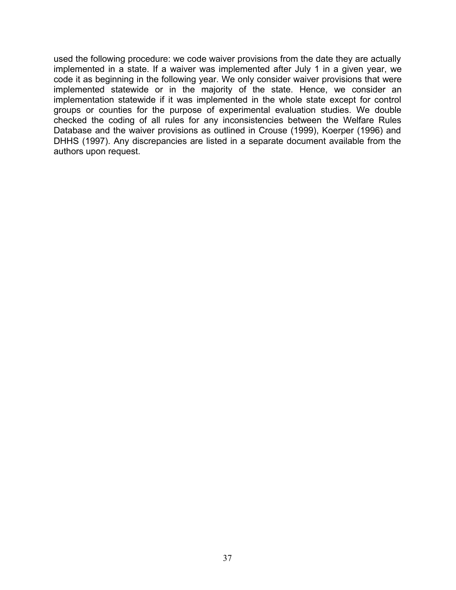used the following procedure: we code waiver provisions from the date they are actually implemented in a state. If a waiver was implemented after July 1 in a given year, we code it as beginning in the following year. We only consider waiver provisions that were implemented statewide or in the majority of the state. Hence, we consider an implementation statewide if it was implemented in the whole state except for control groups or counties for the purpose of experimental evaluation studies. We double checked the coding of all rules for any inconsistencies between the Welfare Rules Database and the waiver provisions as outlined in Crouse (1999), Koerper (1996) and DHHS (1997). Any discrepancies are listed in a separate document available from the authors upon request.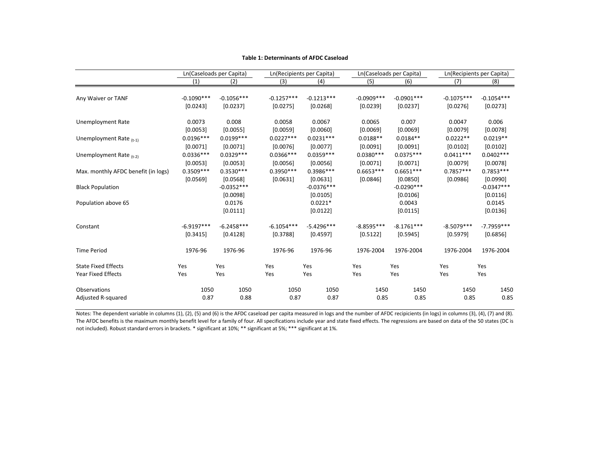|                                     |              | Ln(Caseloads per Capita) |              | Ln(Recipients per Capita) |               | Ln(Caseloads per Capita) |              | Ln(Recipients per Capita) |
|-------------------------------------|--------------|--------------------------|--------------|---------------------------|---------------|--------------------------|--------------|---------------------------|
|                                     | (1)          | (2)                      | (3)          | (4)                       | (5)           | (6)                      | (7)          | (8)                       |
| Any Waiver or TANF                  | $-0.1090***$ | $-0.1056***$             | $-0.1257***$ | $-0.1213***$              | $-0.0909$ *** | $-0.0901***$             | $-0.1075***$ | $-0.1054***$              |
|                                     | [0.0243]     | [0.0237]                 | [0.0275]     | [0.0268]                  | [0.0239]      | [0.0237]                 | [0.0276]     | [0.0273]                  |
| Unemployment Rate                   | 0.0073       | 0.008                    | 0.0058       | 0.0067                    | 0.0065        | 0.007                    | 0.0047       | 0.006                     |
|                                     | [0.0053]     | [0.0055]                 | [0.0059]     | [0.0060]                  | [0.0069]      | [0.0069]                 | [0.0079]     | [0.0078]                  |
| Unemployment Rate $_{(t-1)}$        | $0.0196***$  | $0.0199***$              | $0.0227***$  | $0.0231***$               | $0.0188**$    | $0.0184**$               | $0.0222**$   | $0.0219**$                |
|                                     | [0.0071]     | [0.0071]                 | [0.0076]     | [0.0077]                  | [0.0091]      | [0.0091]                 | [0.0102]     | [0.0102]                  |
| Unemployment Rate $_{(t-2)}$        | $0.0336***$  | $0.0329***$              | $0.0366***$  | $0.0359***$               | $0.0380***$   | $0.0375***$              | $0.0411***$  | $0.0402***$               |
|                                     | [0.0053]     | [0.0053]                 | [0.0056]     | [0.0056]                  | [0.0071]      | [0.0071]                 | [0.0079]     | [0.0078]                  |
| Max. monthly AFDC benefit (in logs) | $0.3509***$  | $0.3530***$              | $0.3950***$  | $0.3986***$               | $0.6653***$   | $0.6651***$              | $0.7857***$  | $0.7853***$               |
|                                     | [0.0569]     | [0.0568]                 | [0.0631]     | [0.0631]                  | [0.0846]      | [0.0850]                 | [0.0986]     | [0.0990]                  |
| <b>Black Population</b>             |              | $-0.0352***$<br>[0.0098] |              | $-0.0376***$<br>[0.0105]  |               | $-0.0290***$<br>[0.0106] |              | $-0.0347***$<br>[0.0116]  |
| Population above 65                 |              | 0.0176<br>[0.0111]       |              | $0.0221*$<br>[0.0122]     |               | 0.0043<br>[0.0115]       |              | 0.0145<br>[0.0136]        |
| Constant                            | $-6.9197***$ | $-6.2458***$             | $-6.1054***$ | $-5.4296***$              | $-8.8595***$  | $-8.1761***$             | $-8.5079***$ | $-7.7959***$              |
|                                     | [0.3415]     | [0.4128]                 | [0.3788]     | [0.4597]                  | [0.5122]      | [0.5945]                 | [0.5979]     | [0.6856]                  |
| <b>Time Period</b>                  | 1976-96      | 1976-96                  | 1976-96      | 1976-96                   | 1976-2004     | 1976-2004                | 1976-2004    | 1976-2004                 |
| <b>State Fixed Effects</b>          | Yes          | Yes                      | Yes          | Yes                       | Yes           | Yes                      | Yes          | Yes                       |
| Year Fixed Effects                  | Yes          | Yes                      | Yes          | Yes                       | Yes           | Yes                      | Yes          | Yes                       |
| <b>Observations</b>                 | 1050         | 1050                     | 1050         | 1050                      | 1450          | 1450                     | 1450         | 1450                      |
| Adjusted R-squared                  | 0.87         | 0.88                     | 0.87         | 0.87                      | 0.85          | 0.85                     | 0.85         | 0.85                      |

#### **Table 1: Determinants of AFDC Caseload**

Notes: The dependent variable in columns (1), (2), (5) and (6) is the AFDC caseload per capita measured in logs and the number of AFDC recipicients (in logs) in columns (3), (4), (7) and (8). The AFDC benefits is the maximum monthly benefit level for <sup>a</sup> family of four. All specifications include year and state fixed effects. The regressions are based on data of the 50 states (DC is not included). Robust standard errors in brackets. \* significant at 10%; \*\* significant at 5%; \*\*\* significant at 1%.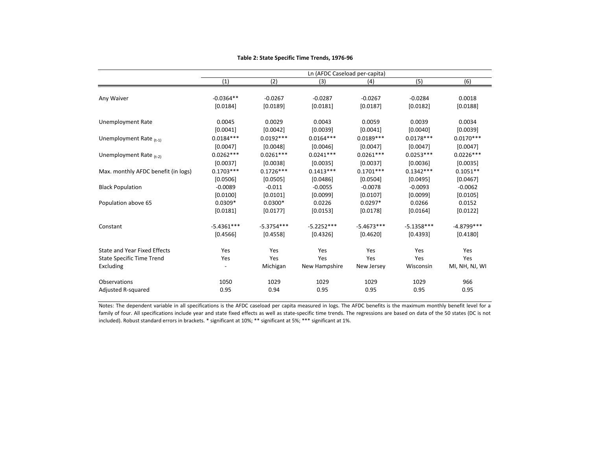|                                     |              |              | Ln (AFDC Caseload per-capita) |              |                  |                |
|-------------------------------------|--------------|--------------|-------------------------------|--------------|------------------|----------------|
|                                     | (1)          | (2)          | (3)                           | (4)          | $\overline{(5)}$ | (6)            |
|                                     |              |              |                               |              |                  |                |
| Any Waiver                          | $-0.0364**$  | $-0.0267$    | $-0.0287$                     | $-0.0267$    | $-0.0284$        | 0.0018         |
|                                     | [0.0184]     | [0.0189]     | [0.0181]                      | [0.0187]     | [0.0182]         | [0.0188]       |
| Unemployment Rate                   | 0.0045       | 0.0029       | 0.0043                        | 0.0059       | 0.0039           | 0.0034         |
|                                     | [0.0041]     | [0.0042]     | [0.0039]                      | [0.0041]     | [0.0040]         | [0.0039]       |
| Unemployment Rate $_{(t-1)}$        | $0.0184***$  | $0.0192***$  | $0.0164***$                   | $0.0189***$  | $0.0178***$      | $0.0170***$    |
|                                     | [0.0047]     | [0.0048]     | [0.0046]                      | [0.0047]     | [0.0047]         | [0.0047]       |
| Unemployment Rate $_{(t-2)}$        | $0.0262***$  | $0.0261***$  | $0.0241***$                   | $0.0261***$  | $0.0253***$      | $0.0226***$    |
|                                     | [0.0037]     | [0.0038]     | [0.0035]                      | [0.0037]     | [0.0036]         | [0.0035]       |
| Max. monthly AFDC benefit (in logs) | $0.1703***$  | $0.1726***$  | $0.1413***$                   | $0.1701***$  | $0.1342***$      | $0.1051**$     |
|                                     | [0.0506]     | [0.0505]     | [0.0486]                      | [0.0504]     | [0.0495]         | [0.0467]       |
| <b>Black Population</b>             | $-0.0089$    | $-0.011$     | $-0.0055$                     | $-0.0078$    | $-0.0093$        | $-0.0062$      |
|                                     | [0.0100]     | [0.0101]     | [0.0099]                      | [0.0107]     | [0.0099]         | [0.0105]       |
| Population above 65                 | $0.0309*$    | $0.0300*$    | 0.0226                        | $0.0297*$    | 0.0266           | 0.0152         |
|                                     | [0.0181]     | [0.0177]     | [0.0153]                      | [0.0178]     | [0.0164]         | [0.0122]       |
| Constant                            | $-5.4361***$ | $-5.3754***$ | $-5.2252***$                  | $-5.4673***$ | $-5.1358***$     | $-4.8799***$   |
|                                     | [0.4566]     | [0.4558]     | [0.4326]                      | [0.4620]     | [0.4393]         | [0.4180]       |
| <b>State and Year Fixed Effects</b> | Yes          | Yes          | Yes                           | Yes          | Yes              | Yes            |
| <b>State Specific Time Trend</b>    | Yes          | Yes          | Yes                           | Yes          | Yes              | Yes            |
| Excluding                           |              | Michigan     | New Hampshire                 | New Jersey   | Wisconsin        | MI, NH, NJ, WI |
| Observations                        | 1050         | 1029         | 1029                          | 1029         | 1029             | 966            |
| <b>Adjusted R-squared</b>           | 0.95         | 0.94         | 0.95                          | 0.95         | 0.95             | 0.95           |
|                                     |              |              |                               |              |                  |                |

**Table 2: State Specific Time Trends, 1976‐96**

Notes: The dependent variable in all specifications is the AFDC caseload per capita measured in logs. The AFDC benefits is the maximum monthly benefit level for <sup>a</sup> family of four. All specifications include year and state fixed effects as well as state‐specific time trends. The regressions are based on data of the 50 states (DC is not included). Robust standard errors in brackets. \* significant at 10%; \*\* significant at 5%; \*\*\* significant at 1%.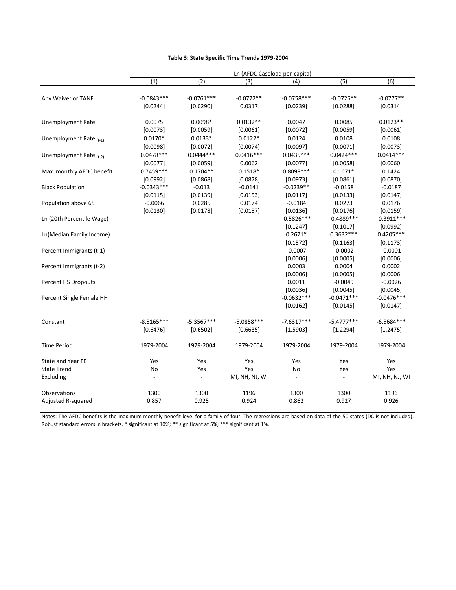|                           |              |              | Ln (AFDC Caseload per-capita) |                          |                          |                |
|---------------------------|--------------|--------------|-------------------------------|--------------------------|--------------------------|----------------|
|                           | (1)          | (2)          | (3)                           | (4)                      | $\overline{(5)}$         | (6)            |
|                           |              |              |                               |                          |                          |                |
| Any Waiver or TANF        | $-0.0843***$ | $-0.0761***$ | $-0.0772**$                   | $-0.0758***$             | $-0.0726**$              | $-0.0777**$    |
|                           | [0.0244]     | [0.0290]     | [0.0317]                      | [0.0239]                 | [0.0288]                 | [0.0314]       |
| Unemployment Rate         | 0.0075       | $0.0098*$    | $0.0132**$                    | 0.0047                   | 0.0085                   | $0.0123**$     |
|                           | [0.0073]     | [0.0059]     | [0.0061]                      | [0.0072]                 | [0.0059]                 | [0.0061]       |
| Unemployment Rate $(t-1)$ | $0.0170*$    | $0.0133*$    | $0.0122*$                     | 0.0124                   | 0.0108                   | 0.0108         |
|                           | [0.0098]     | [0.0072]     | [0.0074]                      | [0.0097]                 | [0.0071]                 | [0.0073]       |
| Unemployment Rate $(t-2)$ | $0.0478***$  | $0.0444***$  | $0.0416***$                   | $0.0435***$              | $0.0424***$              | $0.0414***$    |
|                           | [0.0077]     | [0.0059]     | [0.0062]                      | [0.0077]                 | [0.0058]                 | [0.0060]       |
| Max. monthly AFDC benefit | $0.7459***$  | $0.1704**$   | $0.1518*$                     | $0.8098***$              | $0.1671*$                | 0.1424         |
|                           | [0.0992]     | [0.0868]     | [0.0878]                      | [0.0973]                 | [0.0861]                 | [0.0870]       |
| <b>Black Population</b>   | $-0.0343***$ | $-0.013$     | $-0.0141$                     | $-0.0239**$              | $-0.0168$                | $-0.0187$      |
|                           | [0.0115]     | [0.0139]     | [0.0153]                      | [0.0117]                 | [0.0133]                 | [0.0147]       |
| Population above 65       | $-0.0066$    | 0.0285       | 0.0174                        | $-0.0184$                | 0.0273                   | 0.0176         |
|                           | [0.0130]     | [0.0178]     | [0.0157]                      | [0.0136]                 | [0.0176]                 | [0.0159]       |
| Ln (20th Percentile Wage) |              |              |                               | $-0.5826***$             | $-0.4889***$             | $-0.3911***$   |
|                           |              |              |                               | [0.1247]                 | [0.1017]                 | [0.0992]       |
| Ln(Median Family Income)  |              |              |                               | $0.2671*$                | $0.3632***$              | $0.4205***$    |
|                           |              |              |                               | [0.1572]                 | [0.1163]                 | [0.1173]       |
| Percent Immigrants (t-1)  |              |              |                               | $-0.0007$                | $-0.0002$                | $-0.0001$      |
|                           |              |              |                               | [0.0006]                 | [0.0005]                 | [0.0006]       |
| Percent Immigrants (t-2)  |              |              |                               | 0.0003                   | 0.0004                   | 0.0002         |
|                           |              |              |                               | [0.0006]                 | [0.0005]                 | [0.0006]       |
| Percent HS Dropouts       |              |              |                               | 0.0011                   | $-0.0049$                | $-0.0026$      |
|                           |              |              |                               | [0.0036]                 | [0.0045]                 | [0.0045]       |
| Percent Single Female HH  |              |              |                               | $-0.0632***$             | $-0.0471***$             | $-0.0476***$   |
|                           |              |              |                               | [0.0162]                 | [0.0145]                 | [0.0147]       |
| Constant                  | $-8.5165***$ | $-5.3567***$ | $-5.0858***$                  | $-7.6317***$             | $-5.4777***$             | $-6.5684***$   |
|                           | [0.6476]     | [0.6502]     | [0.6635]                      | [1.5903]                 | [1.2294]                 | [1.2475]       |
| <b>Time Period</b>        | 1979-2004    | 1979-2004    | 1979-2004                     | 1979-2004                | 1979-2004                | 1979-2004      |
|                           |              |              |                               |                          |                          |                |
| State and Year FE         | Yes          | Yes          | Yes                           | Yes                      | Yes                      | Yes            |
| <b>State Trend</b>        | No           | Yes          | Yes                           | No                       | Yes                      | Yes            |
| Excluding                 |              |              | MI, NH, NJ, WI                | $\overline{\phantom{a}}$ | $\overline{\phantom{a}}$ | MI, NH, NJ, WI |
| Observations              | 1300         | 1300         | 1196                          | 1300                     | 1300                     | 1196           |
| Adjusted R-squared        | 0.857        | 0.925        | 0.924                         | 0.862                    | 0.927                    | 0.926          |

#### **Table 3: State Specific Time Trends 1979‐2004**

Notes: The AFDC benefits is the maximum monthly benefit level for a family of four. The regressions are based on data of the 50 states (DC is not included). Robust standard errors in brackets. \* significant at 10%; \*\* significant at 5%; \*\*\* significant at 1%.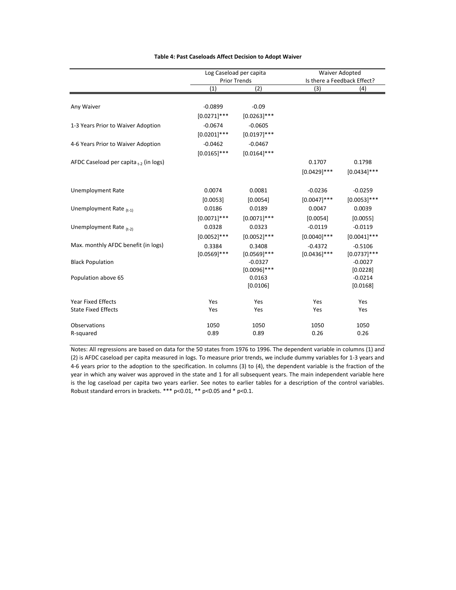|                                                         |                             | Log Caseload per capita<br><b>Prior Trends</b> |                             | Waiver Adopted<br>Is there a Feedback Effect? |
|---------------------------------------------------------|-----------------------------|------------------------------------------------|-----------------------------|-----------------------------------------------|
|                                                         | (1)                         | (2)                                            | (3)                         | (4)                                           |
| Any Waiver                                              | $-0.0899$<br>$[0.0271]$ *** | $-0.09$<br>$[0.0263]$ ***                      |                             |                                               |
| 1-3 Years Prior to Waiver Adoption                      | $-0.0674$<br>$[0.0201]***$  | $-0.0605$<br>$[0.0197]$ ***                    |                             |                                               |
| 4-6 Years Prior to Waiver Adoption                      | $-0.0462$<br>$[0.0165]$ *** | $-0.0467$<br>$[0.0164]$ ***                    |                             |                                               |
| AFDC Caseload per capita $_{t-2}$ (in logs)             |                             |                                                | 0.1707<br>$[0.0429]$ ***    | 0.1798<br>$[0.0434]$ ***                      |
| <b>Unemployment Rate</b>                                | 0.0074<br>[0.0053]          | 0.0081<br>[0.0054]                             | $-0.0236$<br>$[0.0047]$ *** | $-0.0259$<br>$[0.0053]$ ***                   |
| Unemployment Rate (t-1)                                 | 0.0186<br>$[0.0071]$ ***    | 0.0189<br>$[0.0071]$ ***                       | 0.0047<br>[0.0054]          | 0.0039<br>[0.0055]                            |
| Unemployment Rate $_{(t-2)}$                            | 0.0328<br>$[0.0052]$ ***    | 0.0323<br>$[0.0052]$ ***                       | $-0.0119$<br>$[0.0040]$ *** | $-0.0119$<br>$[0.0041]$ ***                   |
| Max. monthly AFDC benefit (in logs)                     | 0.3384<br>$[0.0569]$ ***    | 0.3408<br>$[0.0569]$ ***                       | $-0.4372$<br>$[0.0436]$ *** | $-0.5106$<br>$[0.0737]$ ***                   |
| <b>Black Population</b>                                 |                             | $-0.0327$<br>$[0.0096]$ ***                    |                             | $-0.0027$<br>[0.0228]                         |
| Population above 65                                     |                             | 0.0163<br>[0.0106]                             |                             | $-0.0214$<br>[0.0168]                         |
| <b>Year Fixed Effects</b><br><b>State Fixed Effects</b> | Yes<br>Yes                  | Yes<br>Yes                                     | Yes<br>Yes                  | Yes<br>Yes                                    |
| Observations<br>R-squared                               | 1050<br>0.89                | 1050<br>0.89                                   | 1050<br>0.26                | 1050<br>0.26                                  |

#### **Table 4: Past Caseloads Affect Decision to Adopt Waiver**

Notes: All regressions are based on data for the 50 states from 1976 to 1996. The dependent variable in columns (1) and (2) is AFDC caseload per capita measured in logs. To measure prior trends, we include dummy variables for 1‐3 years and 4‐6 years prior to the adoption to the specification. In columns (3) to (4), the dependent variable is the fraction of the year in which any waiver was approved in the state and 1 for all subsequent years. The main independent variable here is the log caseload per capita two years earlier. See notes to earlier tables for a description of the control variables. Robust standard errors in brackets. \*\*\* p<0.01, \*\* p<0.05 and \* p<0.1.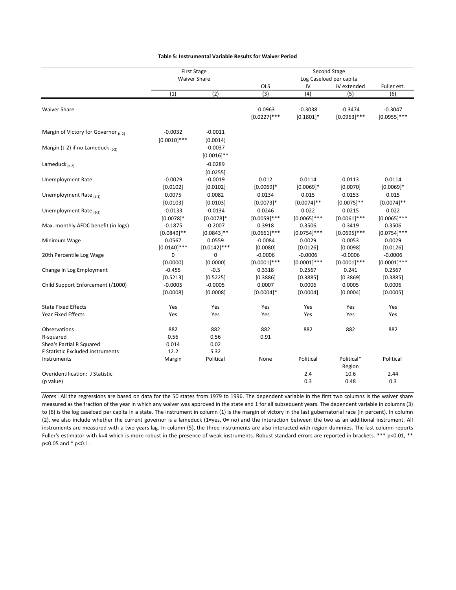|                                                                           | <b>First Stage</b>          |                            |                             |                             | Second Stage                |                             |
|---------------------------------------------------------------------------|-----------------------------|----------------------------|-----------------------------|-----------------------------|-----------------------------|-----------------------------|
|                                                                           |                             | <b>Waiver Share</b>        |                             |                             | Log Caseload per capita     |                             |
|                                                                           |                             |                            | OLS                         | IV                          | IV extended                 | Fuller est.                 |
|                                                                           | (1)                         | (2)                        | $\overline{3}$              | (4)                         | (5)                         | (6)                         |
| <b>Waiver Share</b>                                                       |                             |                            | $-0.0963$<br>$[0.0227]$ *** | $-0.3038$<br>$[0.1801]$ *   | $-0.3474$<br>$[0.0963]$ *** | $-0.3047$<br>$[0.0955]$ *** |
| Margin of Victory for Governor (t-2)                                      | $-0.0032$<br>$[0.0010]$ *** | $-0.0011$<br>[0.0014]      |                             |                             |                             |                             |
| Margin (t-2) if no Lameduck $_{(t-2)}$                                    |                             | $-0.0037$<br>$[0.0016]$ ** |                             |                             |                             |                             |
| Lameduck $(t-2)$                                                          |                             | $-0.0289$<br>[0.0255]      |                             |                             |                             |                             |
| <b>Unemployment Rate</b>                                                  | $-0.0029$<br>[0.0102]       | $-0.0019$<br>[0.0102]      | 0.012<br>$[0.0069]*$        | 0.0114<br>$[0.0069]$ *      | 0.0113<br>[0.0070]          | 0.0114<br>$[0.0069]*$       |
| Unemployment Rate $(t-1)$                                                 | 0.0075<br>[0.0103]          | 0.0082<br>[0.0103]         | 0.0134<br>$[0.0073]$ *      | 0.015<br>$[0.0074]$ **      | 0.0153<br>$[0.0075]$ **     | 0.015<br>$[0.0074]$ **      |
| Unemployment Rate $_{(t-2)}$                                              | $-0.0133$<br>$[0.0078]$ *   | $-0.0134$<br>$[0.0078]$ *  | 0.0246<br>$[0.0059]$ ***    | 0.022<br>$[0.0065]$ ***     | 0.0215<br>$[0.0061]***$     | 0.022<br>$[0.0065]$ ***     |
| Max. monthly AFDC benefit (in logs)                                       | $-0.1875$<br>$[0.0849]$ **  | $-0.2007$<br>$[0.0843]$ ** | 0.3918<br>$[0.0661]$ ***    | 0.3506<br>$[0.0754]$ ***    | 0.3419<br>$[0.0695]$ ***    | 0.3506<br>$[0.0754]$ ***    |
| Minimum Wage                                                              | 0.0567<br>$[0.0140]$ ***    | 0.0559<br>$[0.0142]$ ***   | $-0.0084$<br>[0.0080]       | 0.0029<br>[0.0126]          | 0.0053<br>[0.0098]          | 0.0029<br>[0.0126]          |
| 20th Percentile Log Wage                                                  | 0<br>[0.0000]               | 0<br>[0.0000]              | $-0.0006$<br>$[0.0001]***$  | $-0.0006$<br>$[0.0001]$ *** | $-0.0006$<br>$[0.0001]***$  | $-0.0006$<br>$[0.0001]$ *** |
| Change in Log Employment                                                  | $-0.455$<br>[0.5213]        | $-0.5$<br>[0.5225]         | 0.3318<br>[0.3886]          | 0.2567<br>[0.3885]          | 0.241<br>[0.3869]           | 0.2567<br>[0.3885]          |
| Child Support Enforcement (/1000)                                         | $-0.0005$<br>[0.0008]       | $-0.0005$<br>[0.0008]      | 0.0007<br>$[0.0004]$ *      | 0.0006<br>[0.0004]          | 0.0005<br>[0.0004]          | 0.0006<br>[0.0005]          |
| <b>State Fixed Effects</b>                                                | Yes                         | Yes                        | Yes                         | Yes                         | Yes                         | Yes                         |
| <b>Year Fixed Effects</b>                                                 | Yes                         | Yes                        | Yes                         | Yes                         | Yes                         | Yes                         |
| Observations                                                              | 882                         | 882                        | 882                         | 882                         | 882                         | 882                         |
| R-squared<br>Shea's Partial R Squared<br>F Statistic Excluded Instruments | 0.56<br>0.014<br>12.2       | 0.56<br>0.02<br>5.32       | 0.91                        |                             |                             |                             |
| Instruments                                                               | Margin                      | Political                  | None                        | Political                   | Political*<br>Region        | Political                   |
| Overidentification: J Statistic<br>(p value)                              |                             |                            |                             | 2.4<br>0.3                  | 10.6<br>0.48                | 2.44<br>0.3                 |

*Notes* : All the regressions are based on data for the 50 states from 1979 to 1996. The dependent variable in the first two columns is the waiver share measured as the fraction of the year in which any waiver was approved in the state and 1 for all subsequent years. The dependent variable in columns (3) to (6) is the log caseload per capita in a state. The instrument in column (1) is the margin of victory in the last gubernatorial race (in percent). In column (2), we also include whether the current governor is a lameduck (1=yes, 0= no) and the interaction between the two as an additional instrument. All instruments are measured with a two years lag. In column (5), the three instruments are also interacted with region dummies. The last column reports Fuller's estimator with k=4 which is more robust in the presence of weak instruments. Robust standard errors are reported in brackets. \*\*\* p<0.01, \*\* p<0.05 and \* p<0.1.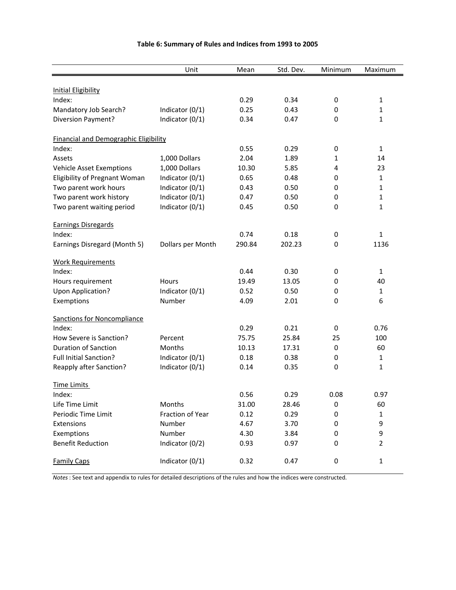#### **Table 6: Summary of Rules and Indices from 1993 to 2005**

|                                              | Unit              | Mean   | Std. Dev. | Minimum     | Maximum        |
|----------------------------------------------|-------------------|--------|-----------|-------------|----------------|
|                                              |                   |        |           |             |                |
| <b>Initial Eligibility</b><br>Index:         |                   | 0.29   | 0.34      | 0           | 1              |
| Mandatory Job Search?                        | Indicator (0/1)   | 0.25   | 0.43      | 0           | 1              |
| Diversion Payment?                           | Indicator (0/1)   | 0.34   | 0.47      | $\mathbf 0$ | 1              |
|                                              |                   |        |           |             |                |
| <b>Financial and Demographic Eligibility</b> |                   |        |           |             |                |
| Index:                                       |                   | 0.55   | 0.29      | 0           | 1              |
| Assets                                       | 1,000 Dollars     | 2.04   | 1.89      | 1           | 14             |
| <b>Vehicle Asset Exemptions</b>              | 1,000 Dollars     | 10.30  | 5.85      | 4           | 23             |
| Eligibility of Pregnant Woman                | Indicator (0/1)   | 0.65   | 0.48      | 0           | $\mathbf{1}$   |
| Two parent work hours                        | Indicator (0/1)   | 0.43   | 0.50      | 0           | 1              |
| Two parent work history                      | Indicator (0/1)   | 0.47   | 0.50      | $\mathbf 0$ | 1              |
| Two parent waiting period                    | Indicator (0/1)   | 0.45   | 0.50      | $\mathbf 0$ | 1              |
| <b>Earnings Disregards</b>                   |                   |        |           |             |                |
| Index:                                       |                   | 0.74   | 0.18      | 0           | 1              |
| Earnings Disregard (Month 5)                 | Dollars per Month | 290.84 | 202.23    | $\mathbf 0$ | 1136           |
| <b>Work Requirements</b>                     |                   |        |           |             |                |
| Index:                                       |                   | 0.44   | 0.30      | 0           | $\mathbf{1}$   |
| Hours requirement                            | <b>Hours</b>      | 19.49  | 13.05     | 0           | 40             |
| Upon Application?                            | Indicator (0/1)   | 0.52   | 0.50      | 0           | $\mathbf{1}$   |
| Exemptions                                   | Number            | 4.09   | 2.01      | 0           | 6              |
| <b>Sanctions for Noncompliance</b>           |                   |        |           |             |                |
| Index:                                       |                   | 0.29   | 0.21      | 0           | 0.76           |
| How Severe is Sanction?                      | Percent           | 75.75  | 25.84     | 25          | 100            |
| <b>Duration of Sanction</b>                  | Months            | 10.13  | 17.31     | 0           | 60             |
| <b>Full Initial Sanction?</b>                | Indicator (0/1)   | 0.18   | 0.38      | 0           | 1              |
| Reapply after Sanction?                      | Indicator (0/1)   | 0.14   | 0.35      | $\mathbf 0$ | 1              |
| <b>Time Limits</b>                           |                   |        |           |             |                |
| Index:                                       |                   | 0.56   | 0.29      | 0.08        | 0.97           |
| Life Time Limit                              | Months            | 31.00  | 28.46     | 0           | 60             |
| Periodic Time Limit                          | Fraction of Year  | 0.12   | 0.29      | 0           | 1              |
| Extensions                                   | Number            | 4.67   | 3.70      | 0           | 9              |
| Exemptions                                   | Number            | 4.30   | 3.84      | 0           | 9              |
| <b>Benefit Reduction</b>                     | Indicator (0/2)   | 0.93   | 0.97      | 0           | $\overline{2}$ |
| <b>Family Caps</b>                           | Indicator (0/1)   | 0.32   | 0.47      | 0           | $\mathbf{1}$   |

*Notes* : See text and appendix to rules for detailed descriptions of the rules and how the indices were constructed.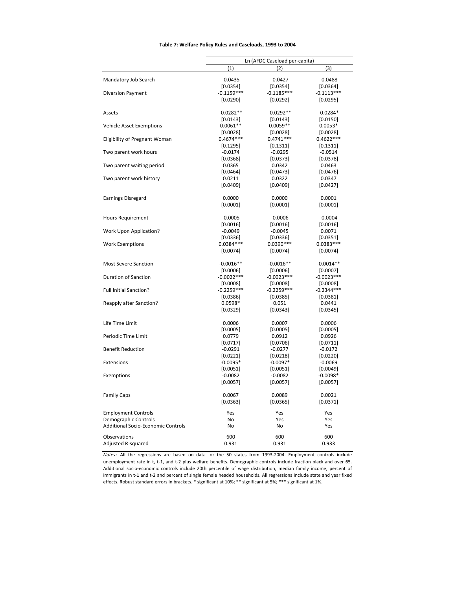#### **Table 7: Welfare Policy Rules and Caseloads, 1993 to 2004**

|                                    | $\left( 1\right)$        | Ln (AFDC Caseload per-capita)<br>(2) | (3)                      |
|------------------------------------|--------------------------|--------------------------------------|--------------------------|
|                                    |                          |                                      |                          |
| Mandatory Job Search               | $-0.0435$                | $-0.0427$                            | $-0.0488$                |
|                                    | [0.0354]                 | [0.0354]                             | [0.0364]                 |
| Diversion Payment                  | $-0.1159***$             | $-0.1185***$                         | $-0.1113***$             |
|                                    | [0.0290]                 | [0.0292]                             | [0.0295]                 |
| Assets                             | $-0.0282**$              | $-0.0292**$                          | $-0.0284*$               |
|                                    | [0.0143]                 | [0.0143]                             | [0.0150]                 |
| Vehicle Asset Exemptions           | $0.0061**$               | $0.0059**$                           | $0.0053*$                |
|                                    | $[0.0028]$               | [0.0028]                             | [0.0028]                 |
| Eligibility of Pregnant Woman      | $0.4674***$              | $0.4741***$                          | $0.4622***$              |
|                                    | [0.1295]                 | [0.1311]                             | [0.1311]                 |
| Two parent work hours              | $-0.0174$                | -0.0295                              | $-0.0514$                |
|                                    | [0.0368]                 | $[0.0373]$                           | [0.0378]                 |
| Two parent waiting period          | 0.0365                   | 0.0342                               | 0.0463                   |
|                                    | [0.0464]                 | [0.0473]                             | [0.0476]                 |
| Two parent work history            | 0.0211                   | 0.0322                               | 0.0347                   |
|                                    | [0.0409]                 | [0.0409]                             | [0.0427]                 |
| <b>Earnings Disregard</b>          | 0.0000                   | 0.0000                               | 0.0001                   |
|                                    | [0.0001]                 | [0.0001]                             | [0.0001]                 |
|                                    |                          |                                      |                          |
| <b>Hours Requirement</b>           | $-0.0005$                | $-0.0006$                            | $-0.0004$                |
|                                    | [0.0016]                 | [0.0016]                             | [0.0016]                 |
| Work Upon Application?             | $-0.0049$                | $-0.0045$                            | 0.0071                   |
|                                    | [0.0336]                 | [0.0336]                             | $[0.0351]$               |
| <b>Work Exemptions</b>             | $0.0384***$              | $0.0390***$                          | $0.0383***$              |
|                                    | [0.0074]                 | [0.0074]                             | [0.0074]                 |
| <b>Most Severe Sanction</b>        | $-0.0016**$              | $-0.0016**$                          | $-0.0014**$              |
|                                    |                          |                                      |                          |
| Duration of Sanction               | [0.0006]<br>$-0.0022***$ | [0.0006]<br>$-0.0023***$             | [0.0007]<br>$-0.0023***$ |
|                                    |                          |                                      |                          |
| <b>Full Initial Sanction?</b>      | [0.0008]<br>$-0.2259***$ | [0.0008]<br>$-0.2259***$             | [0.0008]<br>$-0.2344***$ |
|                                    |                          |                                      |                          |
|                                    | [0.0386]<br>$0.0598*$    | [0.0385]                             | [0.0381]                 |
| Reapply after Sanction?            |                          | 0.051                                | 0.0441                   |
|                                    | [0.0329]                 | [0.0343]                             | [0.0345]                 |
| Life Time Limit                    | 0.0006                   | 0.0007                               | 0.0006                   |
|                                    | [0.0005]                 | [0.0005]                             | [0.0005]                 |
| Periodic Time Limit                | 0.0779                   | 0.0912                               | 0.0926                   |
|                                    | [0.0717]                 | [0.0706]                             | [0.0711]                 |
| <b>Benefit Reduction</b>           | $-0.0291$                | $-0.0277$                            | $-0.0172$                |
|                                    | [0.0221]                 | [0.0218]                             | [0.0220]                 |
| Extensions                         | $-0.0095*$               | $-0.0097*$                           | $-0.0069$                |
|                                    | [0.0051]                 | [0.0051]                             | [0.0049]                 |
| Exemptions                         | $-0.0082$                | $-0.0082$                            | $-0.0098*$               |
|                                    | [0.0057]                 | [0.0057]                             | [0.0057]                 |
| <b>Family Caps</b>                 | 0.0067                   | 0.0089                               | 0.0021                   |
|                                    |                          |                                      |                          |
|                                    | [0.0363]                 | [0.0365]                             | [0.0371]                 |
| <b>Employment Controls</b>         | Yes                      | Yes                                  | Yes                      |
| Demographic Controls               | No                       | Yes                                  | Yes                      |
| Additional Socio-Economic Controls | No                       | No                                   | Yes                      |
| Observations                       | 600                      | 600                                  | 600                      |
| Adjusted R-squared                 | 0.931                    | 0.931                                | 0.933                    |
|                                    |                          |                                      |                          |

*Notes*: All the regressions are based on data for the 50 states from 1993‐2004. Employment controls include unemployment rate in t, t-1, and t-2 plus welfare benefits. Demographic controls include fraction black and over 65. Additional socio‐economic controls include 20th percentile of wage distribution, median family income, percent of immigrants in t‐1 and t‐2 and percent of single female headed households. All regressions include state and year fixed effects. Robust standard errors in brackets. \* significant at 10%; \*\* significant at 5%; \*\*\* significant at 1%.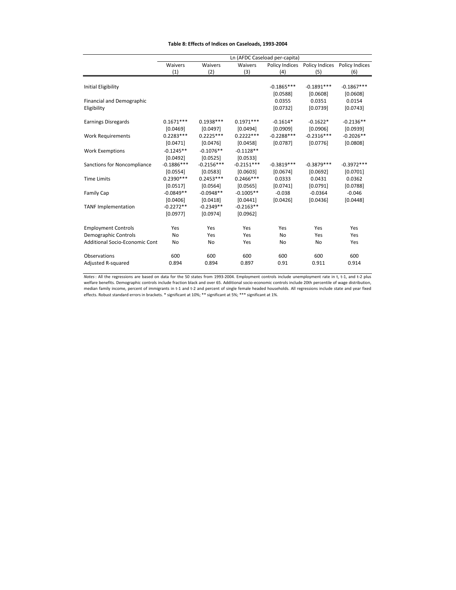#### **Table 8: Effects of Indices on Caseloads, 1993‐2004**

|                                       |              |              |              | Ln (AFDC Caseload per-capita) |                                                |              |
|---------------------------------------|--------------|--------------|--------------|-------------------------------|------------------------------------------------|--------------|
|                                       | Waivers      | Waivers      | Waivers      |                               | Policy Indices  Policy Indices  Policy Indices |              |
|                                       | (1)          | (2)          | (3)          | (4)                           | (5)                                            | (6)          |
|                                       |              |              |              |                               |                                                |              |
| Initial Eligibility                   |              |              |              | $-0.1865***$                  | $-0.1891***$                                   | $-0.1867***$ |
|                                       |              |              |              | [0.0588]                      | [0.0608]                                       | [0.0608]     |
| <b>Financial and Demographic</b>      |              |              |              | 0.0355                        | 0.0351                                         | 0.0154       |
| Eligibility                           |              |              |              | [0.0732]                      | [0.0739]                                       | [0.0743]     |
| <b>Earnings Disregards</b>            | $0.1671***$  | $0.1938***$  | $0.1971***$  | $-0.1614*$                    | $-0.1622*$                                     | $-0.2136**$  |
|                                       | [0.0469]     | [0.0497]     | [0.0494]     | [0.0909]                      | [0.0906]                                       | [0.0939]     |
| <b>Work Requirements</b>              | $0.2283***$  | $0.2225***$  | $0.2222***$  | $-0.2288***$                  | $-0.2316***$                                   | $-0.2026**$  |
|                                       | [0.0471]     | [0.0476]     | [0.0458]     | [0.0787]                      | [0.0776]                                       | [0.0808]     |
| <b>Work Exemptions</b>                | $-0.1245**$  | $-0.1076**$  | $-0.1128**$  |                               |                                                |              |
|                                       | [0.0492]     | [0.0525]     | [0.0533]     |                               |                                                |              |
| Sanctions for Noncompliance           | $-0.1886***$ | $-0.2156***$ | $-0.2151***$ | $-0.3819***$                  | $-0.3879***$                                   | $-0.3972***$ |
|                                       | [0.0554]     | [0.0583]     | [0.0603]     | [0.0674]                      | [0.0692]                                       | [0.0701]     |
| <b>Time Limits</b>                    | $0.2390***$  | $0.2453***$  | $0.2466***$  | 0.0333                        | 0.0431                                         | 0.0362       |
|                                       | [0.0517]     | [0.0564]     | [0.0565]     | [0.0741]                      | [0.0791]                                       | [0.0788]     |
| <b>Family Cap</b>                     | $-0.0849**$  | $-0.0948**$  | $-0.1005**$  | $-0.038$                      | $-0.0364$                                      | $-0.046$     |
|                                       | [0.0406]     | [0.0418]     | [0.0441]     | [0.0426]                      | [0.0436]                                       | [0.0448]     |
| <b>TANF Implementation</b>            | $-0.2272**$  | $-0.2349**$  | $-0.2163**$  |                               |                                                |              |
|                                       | [0.0977]     | [0.0974]     | [0.0962]     |                               |                                                |              |
| <b>Employment Controls</b>            | Yes          | Yes          | Yes          | Yes                           | Yes                                            | Yes          |
| Demographic Controls                  | No           | Yes          | Yes          | <b>No</b>                     | Yes                                            | Yes          |
| <b>Additional Socio-Economic Cont</b> | No           | <b>No</b>    | Yes          | <b>No</b>                     | No                                             | Yes          |
| Observations                          | 600          | 600          | 600          | 600                           | 600                                            | 600          |
| Adjusted R-squared                    | 0.894        | 0.894        | 0.897        | 0.91                          | 0.911                                          | 0.914        |

*Notes*: All the regressions are based on data for the 50 states from 1993‐2004. Employment controls include unemployment rate in t, t‐1, and t‐2 plus welfare benefits. Demographic controls include fraction black and over 65. Additional socio‐economic controls include 20th percentile of wage distribution, median family income, percent of immigrants in t‐1 and t‐2 and percent of single female headed households. All regressions include state and year fixed effects. Robust standard errors in brackets. \* significant at 10%; \*\* significant at 5%; \*\*\* significant at 1%.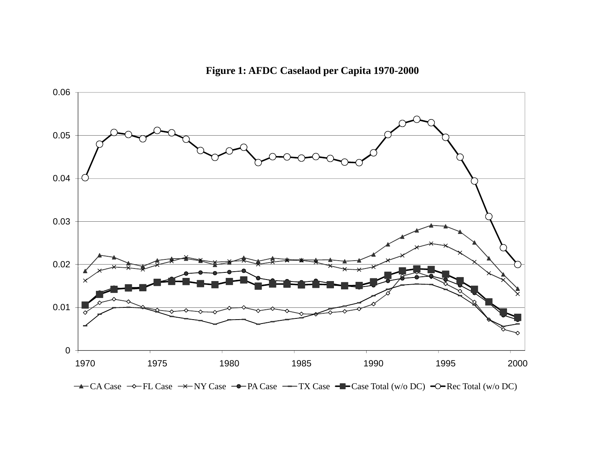**Figure 1: AFDC Caselaod per Capita 1970-2000**



CA Case  $\rightarrow$  FL Case  $\rightarrow$  NY Case  $\rightarrow$  PA Case  $\rightarrow$  TX Case  $\rightarrow$  Case Total (w/o DC)  $\rightarrow$  Rec Total (w/o DC)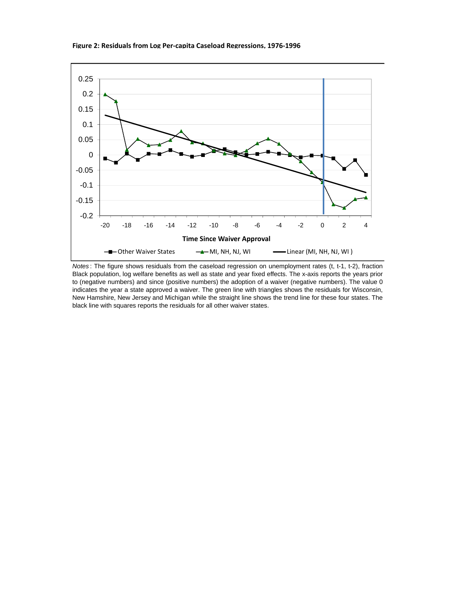

*Notes* : The figure shows residuals from the caseload regression on unemployment rates (t, t-1, t-2), fraction Black population, log welfare benefits as well as state and year fixed effects. The x-axis reports the years prior to (negative numbers) and since (positive numbers) the adoption of a waiver (negative numbers). The value 0 indicates the year a state approved a waiver. The green line with triangles shows the residuals for Wisconsin, New Hamshire, New Jersey and Michigan while the straight line shows the trend line for these four states. The black line with squares reports the residuals for all other waiver states.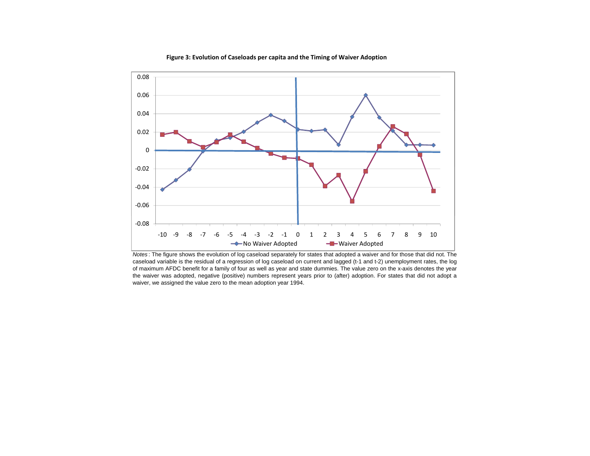

#### **Figure 3: Evolution of Caseloads per capita and the Timing of Waiver Adoption**

*Notes* : The figure shows the evolution of log caseload separately for states that adopted <sup>a</sup> waiver and for those that did not. The caseload variable is the residual of <sup>a</sup> regression of log caseload on current and lagged (t-1 and t-2) unemployment rates, the log of maximum AFDC benefit for <sup>a</sup> family of four as well as year and state dummies. The value zero on the x-axis denotes the year the waiver was adopted, negative (positive) numbers represent years prior to (after) adoption. For states that did not adopt <sup>a</sup> waiver, we assigned the value zero to the mean adoption year 1994.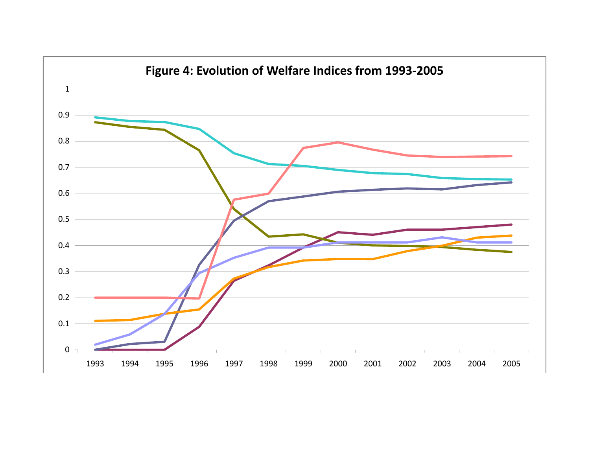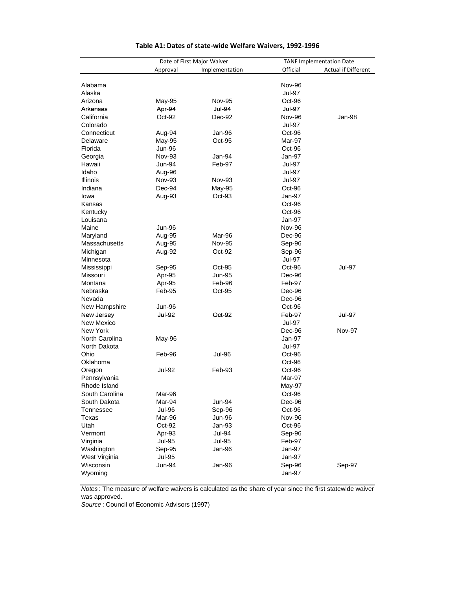|                |                         | Date of First Major Waiver     |                  | <b>TANF Implementation Date</b> |  |  |
|----------------|-------------------------|--------------------------------|------------------|---------------------------------|--|--|
|                | Approval                | Implementation                 | Official         | Actual if Different             |  |  |
|                |                         |                                |                  |                                 |  |  |
| Alabama        |                         |                                | <b>Nov-96</b>    |                                 |  |  |
| Alaska         |                         |                                | Jul-97           |                                 |  |  |
| Arizona        | May-95                  | <b>Nov-95</b>                  | Oct-96           |                                 |  |  |
| Arkansas       | Apr-94                  | <b>Jul-94</b>                  | <b>Jul-97</b>    |                                 |  |  |
| California     | Oct-92                  | Dec-92                         | <b>Nov-96</b>    | Jan-98                          |  |  |
| Colorado       |                         |                                | Jul-97           |                                 |  |  |
| Connecticut    | Aug-94                  | Jan-96                         | Oct-96           |                                 |  |  |
| Delaware       | May-95                  | $Oct-95$                       | Mar-97           |                                 |  |  |
| Florida        | <b>Jun-96</b>           |                                | Oct-96           |                                 |  |  |
| Georgia        | Nov-93                  | Jan-94                         | Jan-97           |                                 |  |  |
| Hawaii         | Jun-94                  | Feb-97                         | Jul-97           |                                 |  |  |
| Idaho          | Aug-96                  |                                | Jul-97           |                                 |  |  |
| Illinois       | Nov-93                  | Nov-93                         | Jul-97           |                                 |  |  |
| Indiana        | Dec-94                  | May-95                         | Oct-96           |                                 |  |  |
| lowa           | Aug-93                  | Oct-93                         | Jan-97           |                                 |  |  |
| Kansas         |                         |                                | Oct-96           |                                 |  |  |
| Kentucky       |                         |                                | Oct-96           |                                 |  |  |
| Louisana       |                         |                                | Jan-97           |                                 |  |  |
| Maine          | <b>Jun-96</b>           |                                | <b>Nov-96</b>    |                                 |  |  |
| Maryland       | Aug-95                  | Mar-96                         | Dec-96           |                                 |  |  |
| Massachusetts  | Aug-95                  | <b>Nov-95</b>                  | Sep-96           |                                 |  |  |
| Michigan       | Aug-92                  | Oct-92                         | Sep-96           |                                 |  |  |
| Minnesota      |                         |                                | <b>Jul-97</b>    |                                 |  |  |
| Mississippi    | Sep-95                  | Oct-95                         | Oct-96           | Jul-97                          |  |  |
| Missouri       | Apr-95                  | Jun-95                         | Dec-96           |                                 |  |  |
| Montana        | Apr-95                  | Feb-96                         | Feb-97           |                                 |  |  |
| Nebraska       | Feb-95                  | Oct-95                         | Dec-96           |                                 |  |  |
| Nevada         |                         |                                | Dec-96           |                                 |  |  |
| New Hampshire  | Jun-96                  |                                | Oct-96           |                                 |  |  |
| New Jersey     | <b>Jul-92</b>           | Oct-92                         | Feb-97           | <b>Jul-97</b>                   |  |  |
| New Mexico     |                         |                                | Jul-97           |                                 |  |  |
| New York       |                         |                                | Dec-96           | <b>Nov-97</b>                   |  |  |
| North Carolina | May-96                  |                                | Jan-97           |                                 |  |  |
| North Dakota   |                         |                                | <b>Jul-97</b>    |                                 |  |  |
| Ohio           | Feb-96                  | <b>Jul-96</b>                  | Oct-96           |                                 |  |  |
| Oklahoma       |                         |                                | Oct-96           |                                 |  |  |
| Oregon         | Jul-92                  | Feb-93                         | Oct-96           |                                 |  |  |
| Pennsylvania   |                         |                                | Mar-97           |                                 |  |  |
| Rhode Island   |                         |                                | May-97           |                                 |  |  |
| South Carolina | Mar-96                  |                                | Oct-96           |                                 |  |  |
| South Dakota   | Mar-94                  | Jun-94                         | Dec-96           |                                 |  |  |
| Tennessee      | <b>Jul-96</b>           | Sep-96                         | Oct-96           |                                 |  |  |
| Texas          | Mar-96                  | <b>Jun-96</b>                  | Nov-96           |                                 |  |  |
| Utah           | Oct-92                  | Jan-93                         | Oct-96           |                                 |  |  |
| Vermont        |                         |                                | Sep-96           |                                 |  |  |
| Virginia       | Apr-93<br><b>Jul-95</b> | <b>Jul-94</b><br><b>Jul-95</b> | Feb-97           |                                 |  |  |
| Washington     |                         | Jan-96                         | Jan-97           |                                 |  |  |
| West Virginia  | Sep-95<br><b>Jul-95</b> |                                | Jan-97           |                                 |  |  |
| Wisconsin      |                         |                                |                  |                                 |  |  |
| Wyoming        | Jun-94                  | Jan-96                         | Sep-96<br>Jan-97 | Sep-97                          |  |  |
|                |                         |                                |                  |                                 |  |  |

#### **Table A1: Dates of state‐wide Welfare Waivers, 1992‐1996**

*Notes* : The measure of welfare waivers is calculated as the share of year since the first statewide waiver was approved.

*Source* : Council of Economic Advisors (1997)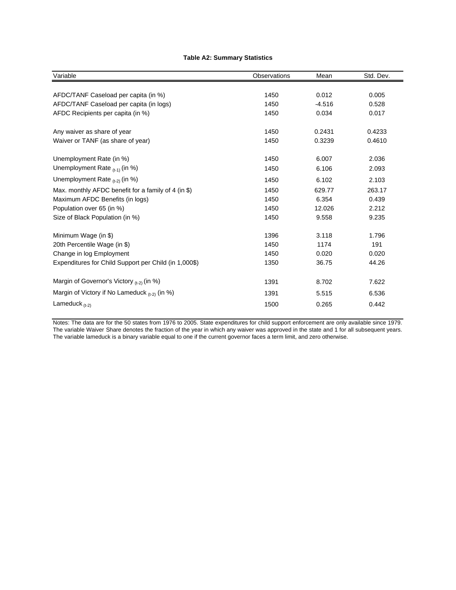#### **Table A2: Summary Statistics**

| Variable                                              | Observations | Mean     | Std. Dev. |
|-------------------------------------------------------|--------------|----------|-----------|
|                                                       |              |          |           |
| AFDC/TANF Caseload per capita (in %)                  | 1450         | 0.012    | 0.005     |
| AFDC/TANF Caseload per capita (in logs)               | 1450         | $-4.516$ | 0.528     |
| AFDC Recipients per capita (in %)                     | 1450         | 0.034    | 0.017     |
| Any waiver as share of year                           | 1450         | 0.2431   | 0.4233    |
| Waiver or TANF (as share of year)                     | 1450         | 0.3239   | 0.4610    |
| Unemployment Rate (in %)                              | 1450         | 6.007    | 2.036     |
| Unemployment Rate $_{(t-1)}$ (in %)                   | 1450         | 6.106    | 2.093     |
| Unemployment Rate $_{(t-2)}$ (in %)                   | 1450         | 6.102    | 2.103     |
| Max. monthly AFDC benefit for a family of 4 (in \$)   | 1450         | 629.77   | 263.17    |
| Maximum AFDC Benefits (in logs)                       | 1450         | 6.354    | 0.439     |
| Population over 65 (in %)                             | 1450         | 12.026   | 2.212     |
| Size of Black Population (in %)                       | 1450         | 9.558    | 9.235     |
| Minimum Wage (in \$)                                  | 1396         | 3.118    | 1.796     |
| 20th Percentile Wage (in \$)                          | 1450         | 1174     | 191       |
| Change in log Employment                              | 1450         | 0.020    | 0.020     |
| Expenditures for Child Support per Child (in 1,000\$) | 1350         | 36.75    | 44.26     |
| Margin of Governor's Victory (t-2) (in %)             | 1391         | 8.702    | 7.622     |
| Margin of Victory if No Lameduck $_{(t-2)}$ (in %)    | 1391         | 5.515    | 6.536     |
| Lameduck $_{(t-2)}$                                   | 1500         | 0.265    | 0.442     |

Notes: The data are for the 50 states from 1976 to 2005. State expenditures for child support enforcement are only available since 1979. The variable Waiver Share denotes the fraction of the year in which any waiver was approved in the state and 1 for all subsequent years. The variable lameduck is a binary variable equal to one if the current governor faces a term limit, and zero otherwise.